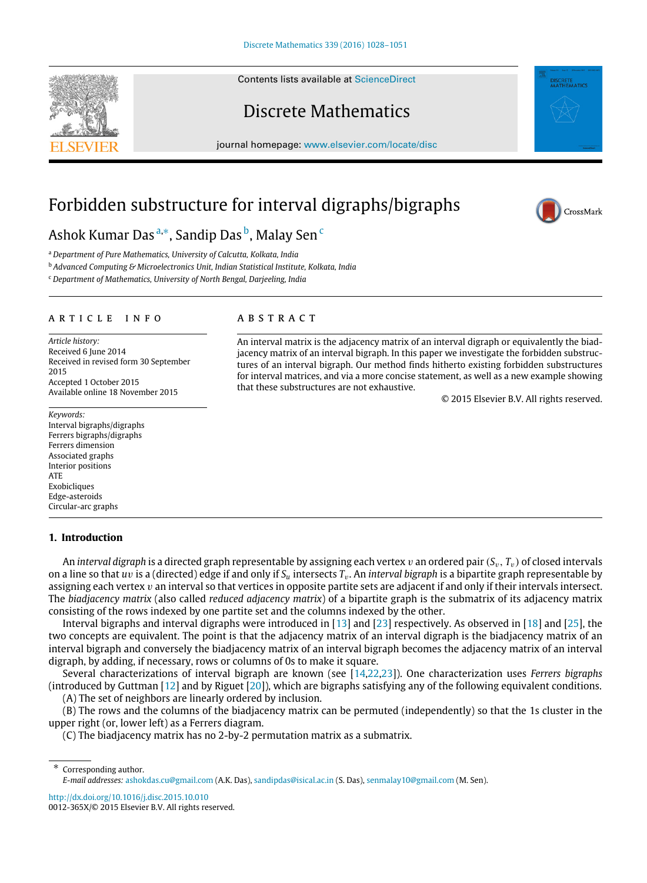Contents lists available at [ScienceDirect](http://www.elsevier.com/locate/disc)

# Discrete Mathematics

journal homepage: [www.elsevier.com/locate/disc](http://www.elsevier.com/locate/disc)

An interval matrix is the adjacency matrix of an interval digraph or equivalently the biadjacency matrix of an interval bigraph. In this paper we investigate the forbidden substructures of an interval bigraph. Our method finds hitherto existing forbidden substructures for interval matrices, and via a more concise statement, as well as a new example showing

# Forbidden substructure for interval digraphs/bigraphs

a b s t r a c t

Ashok Kumar Das <sup>[a,](#page-0-0)</sup>\*, Sandip Das <sup>[b](#page-0-2)</sup>, Malay Sen <sup>[c](#page-0-3)</sup>

<span id="page-0-0"></span><sup>a</sup> *Department of Pure Mathematics, University of Calcutta, Kolkata, India*

<span id="page-0-2"></span><sup>b</sup> *Advanced Computing & Microelectronics Unit, Indian Statistical Institute, Kolkata, India*

<span id="page-0-3"></span><sup>c</sup> *Department of Mathematics, University of North Bengal, Darjeeling, India*

### a r t i c l e i n f o

*Article history:* Received 6 June 2014 Received in revised form 30 September 2015 Accepted 1 October 2015 Available online 18 November 2015

*Keywords:* Interval bigraphs/digraphs Ferrers bigraphs/digraphs Ferrers dimension Associated graphs Interior positions ATE Exobicliques Edge-asteroids Circular-arc graphs

# **1. Introduction**

An *interval digraph* is a directed graph representable by assigning each vertex v an ordered pair (*S*v, *T*v) of closed intervals on a line so that *u*v is a (directed) edge if and only if *S<sup>u</sup>* intersects *T*v. An *interval bigraph* is a bipartite graph representable by assigning each vertex  $v$  an interval so that vertices in opposite partite sets are adjacent if and only if their intervals intersect. The *biadjacency matrix* (also called *reduced adjacency matrix*) of a bipartite graph is the submatrix of its adjacency matrix consisting of the rows indexed by one partite set and the columns indexed by the other.

that these substructures are not exhaustive.

Interval bigraphs and interval digraphs were introduced in [\[13\]](#page-23-0) and [\[23\]](#page-23-1) respectively. As observed in [\[18\]](#page-23-2) and [\[25\]](#page-23-3), the two concepts are equivalent. The point is that the adjacency matrix of an interval digraph is the biadjacency matrix of an interval bigraph and conversely the biadjacency matrix of an interval bigraph becomes the adjacency matrix of an interval digraph, by adding, if necessary, rows or columns of 0s to make it square.

Several characterizations of interval bigraph are known (see [\[14,](#page-23-4)[22](#page-23-5)[,23\]](#page-23-1)). One characterization uses *Ferrers bigraphs* (introduced by Guttman [\[12\]](#page-22-0) and by Riguet [\[20\]](#page-23-6)), which are bigraphs satisfying any of the following equivalent conditions.

(A) The set of neighbors are linearly ordered by inclusion.

(B) The rows and the columns of the biadjacency matrix can be permuted (independently) so that the 1s cluster in the upper right (or, lower left) as a Ferrers diagram.

(C) The biadjacency matrix has no 2-by-2 permutation matrix as a submatrix.

<http://dx.doi.org/10.1016/j.disc.2015.10.010> 0012-365X/© 2015 Elsevier B.V. All rights reserved.



© 2015 Elsevier B.V. All rights reserved.



<span id="page-0-1"></span>Corresponding author. *E-mail addresses:* [ashokdas.cu@gmail.com](mailto:ashokdas.cu@gmail.com) (A.K. Das), [sandipdas@isical.ac.in](mailto:sandipdas@isical.ac.in) (S. Das), [senmalay10@gmail.com](mailto:senmalay10@gmail.com) (M. Sen).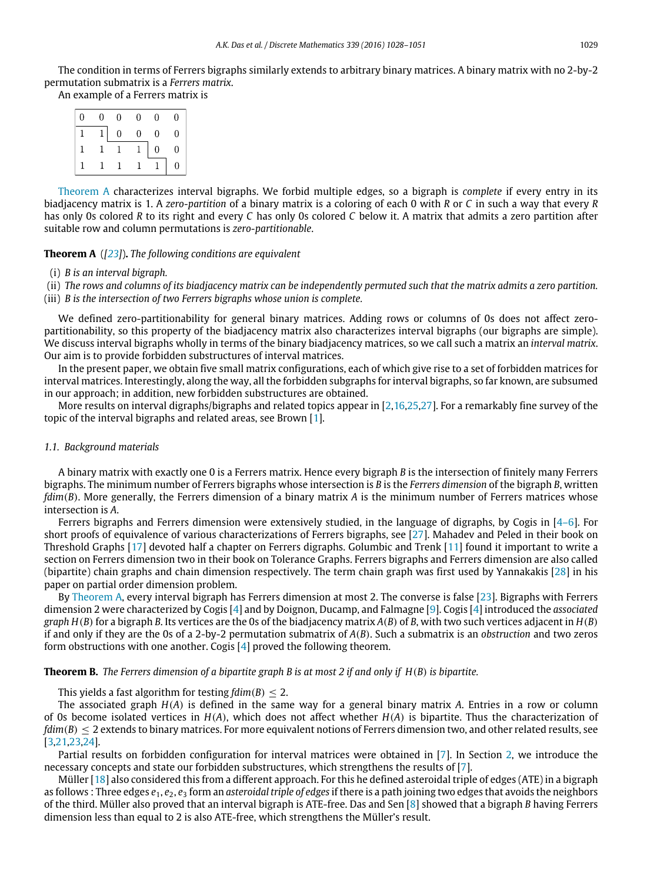The condition in terms of Ferrers bigraphs similarly extends to arbitrary binary matrices. A binary matrix with no 2-by-2 permutation submatrix is a *Ferrers matrix*.

An example of a Ferrers matrix is

| 0 | $\Omega$ | $\overline{0}$ | 0 | 0              | 0                |
|---|----------|----------------|---|----------------|------------------|
|   |          | $\theta$       | 0 | $\overline{0}$ | 0                |
|   |          |                |   | $\theta$       | 0                |
|   |          |                |   |                | $\boldsymbol{0}$ |

[Theorem A](#page-1-0) characterizes interval bigraphs. We forbid multiple edges, so a bigraph is *complete* if every entry in its biadjacency matrix is 1. A *zero-partition* of a binary matrix is a coloring of each 0 with *R* or *C* in such a way that every *R* has only 0s colored *R* to its right and every *C* has only 0s colored *C* below it. A matrix that admits a zero partition after suitable row and column permutations is *zero-partitionable*.

# <span id="page-1-0"></span>**Theorem A** (*[\[23\]](#page-23-1)*)**.** *The following conditions are equivalent*

#### (i) *B is an interval bigraph.*

(ii) *The rows and columns of its biadjacency matrix can be independently permuted such that the matrix admits a zero partition.*

(iii) *B is the intersection of two Ferrers bigraphs whose union is complete.*

We defined zero-partitionability for general binary matrices. Adding rows or columns of 0s does not affect zeropartitionability, so this property of the biadjacency matrix also characterizes interval bigraphs (our bigraphs are simple). We discuss interval bigraphs wholly in terms of the binary biadjacency matrices, so we call such a matrix an *interval matrix*. Our aim is to provide forbidden substructures of interval matrices.

In the present paper, we obtain five small matrix configurations, each of which give rise to a set of forbidden matrices for interval matrices. Interestingly, along the way, all the forbidden subgraphs for interval bigraphs, so far known, are subsumed in our approach; in addition, new forbidden substructures are obtained.

More results on interval digraphs/bigraphs and related topics appear in [\[2](#page-22-1)[,16,](#page-23-7)[25](#page-23-3)[,27\]](#page-23-8). For a remarkably fine survey of the topic of the interval bigraphs and related areas, see Brown [\[1\]](#page-22-2).

### *1.1. Background materials*

A binary matrix with exactly one 0 is a Ferrers matrix. Hence every bigraph *B* is the intersection of finitely many Ferrers bigraphs. The minimum number of Ferrers bigraphs whose intersection is *B* is the *Ferrers dimension* of the bigraph *B*, written *fdim*(*B*). More generally, the Ferrers dimension of a binary matrix *A* is the minimum number of Ferrers matrices whose intersection is *A*.

Ferrers bigraphs and Ferrers dimension were extensively studied, in the language of digraphs, by Cogis in [\[4–6\]](#page-22-3). For short proofs of equivalence of various characterizations of Ferrers bigraphs, see [\[27\]](#page-23-8). Mahadev and Peled in their book on Threshold Graphs [\[17\]](#page-23-9) devoted half a chapter on Ferrers digraphs. Golumbic and Trenk [\[11\]](#page-22-4) found it important to write a section on Ferrers dimension two in their book on Tolerance Graphs. Ferrers bigraphs and Ferrers dimension are also called (bipartite) chain graphs and chain dimension respectively. The term chain graph was first used by Yannakakis [\[28\]](#page-23-10) in his paper on partial order dimension problem.

By [Theorem A,](#page-1-0) every interval bigraph has Ferrers dimension at most 2. The converse is false [\[23\]](#page-23-1). Bigraphs with Ferrers dimension 2 were characterized by Cogis [\[4\]](#page-22-3) and by Doignon, Ducamp, and Falmagne [\[9\]](#page-22-5). Cogis [\[4\]](#page-22-3) introduced the *associated graph H*( $B$ ) for a bigraph  $B$ . Its vertices are the 0s of the biadjacency matrix  $A(B)$  of  $B$ , with two such vertices adjacent in  $H(B)$ if and only if they are the 0s of a 2-by-2 permutation submatrix of *A*(*B*). Such a submatrix is an *obstruction* and two zeros form obstructions with one another. Cogis [\[4\]](#page-22-3) proved the following theorem.

**Theorem B.** *The Ferrers dimension of a bipartite graph B is at most 2 if and only if H*(*B*) *is bipartite.*

This yields a fast algorithm for testing  $fdim(B) < 2$ .

The associated graph *H*(*A*) is defined in the same way for a general binary matrix *A*. Entries in a row or column of 0s become isolated vertices in *H*(*A*), which does not affect whether *H*(*A*) is bipartite. Thus the characterization of  $fdim(B) \leq 2$  extends to binary matrices. For more equivalent notions of Ferrers dimension two, and other related results, see [\[3,](#page-22-6)[21](#page-23-11)[,23,](#page-23-1)[24\]](#page-23-12).

Partial results on forbidden configuration for interval matrices were obtained in [\[7\]](#page-22-7). In Section [2,](#page-2-0) we introduce the necessary concepts and state our forbidden substructures, which strengthens the results of [\[7\]](#page-22-7).

Müller [\[18\]](#page-23-2) also considered this from a different approach. For this he defined asteroidal triple of edges (ATE) in a bigraph as follows : Three edges *e*1, *e*2, *e*<sup>3</sup> form an *asteroidal triple of edges* if there is a path joining two edges that avoids the neighbors of the third. Müller also proved that an interval bigraph is ATE-free. Das and Sen [\[8\]](#page-22-8) showed that a bigraph *B* having Ferrers dimension less than equal to 2 is also ATE-free, which strengthens the Müller's result.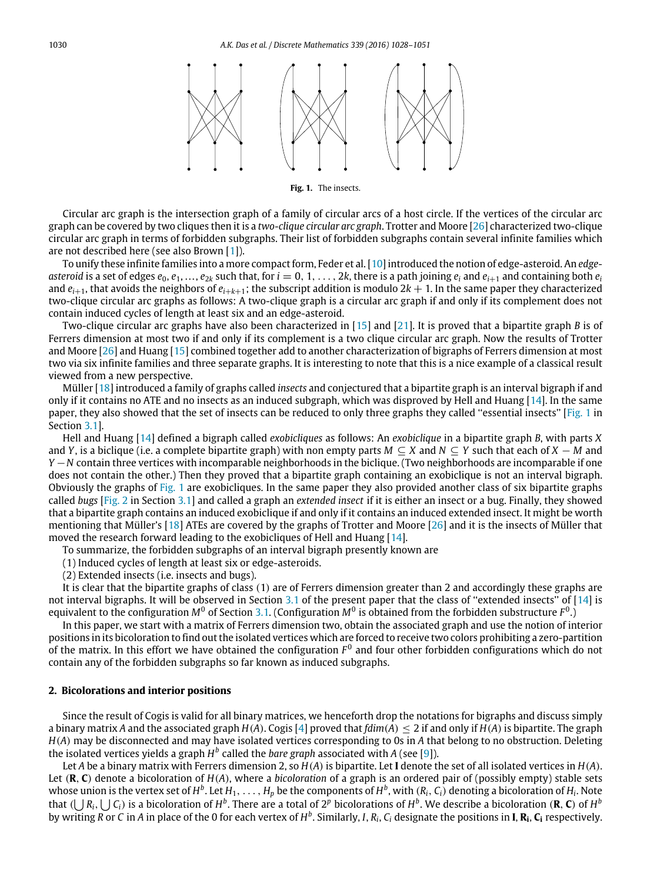<span id="page-2-1"></span>

**Fig. 1.** The insects.

Circular arc graph is the intersection graph of a family of circular arcs of a host circle. If the vertices of the circular arc graph can be covered by two cliques then it is a *two-clique circular arc graph*. Trotter and Moore [\[26\]](#page-23-13) characterized two-clique circular arc graph in terms of forbidden subgraphs. Their list of forbidden subgraphs contain several infinite families which are not described here (see also Brown [\[1\]](#page-22-2)).

To unify these infinite families into a more compact form, Feder et al. [\[10\]](#page-22-9) introduced the notion of edge-asteroid. An *edge*asteroid is a set of edges  $e_0, e_1, \ldots, e_{2k}$  such that, for  $i = 0, 1, \ldots, 2k$ , there is a path joining  $e_i$  and  $e_{i+1}$  and containing both  $e_i$ and  $e_{i+1}$ , that avoids the neighbors of  $e_{i+k+1}$ ; the subscript addition is modulo  $2k + 1$ . In the same paper they characterized two-clique circular arc graphs as follows: A two-clique graph is a circular arc graph if and only if its complement does not contain induced cycles of length at least six and an edge-asteroid.

Two-clique circular arc graphs have also been characterized in [\[15\]](#page-23-14) and [\[21\]](#page-23-11). It is proved that a bipartite graph *B* is of Ferrers dimension at most two if and only if its complement is a two clique circular arc graph. Now the results of Trotter and Moore [\[26\]](#page-23-13) and Huang [\[15\]](#page-23-14) combined together add to another characterization of bigraphs of Ferrers dimension at most two via six infinite families and three separate graphs. It is interesting to note that this is a nice example of a classical result viewed from a new perspective.

Müller [\[18\]](#page-23-2) introduced a family of graphs called *insects* and conjectured that a bipartite graph is an interval bigraph if and only if it contains no ATE and no insects as an induced subgraph, which was disproved by Hell and Huang [\[14\]](#page-23-4). In the same paper, they also showed that the set of insects can be reduced to only three graphs they called "essential insects" [\[Fig. 1](#page-2-1) in Section [3.1\]](#page-5-0).

Hell and Huang [\[14\]](#page-23-4) defined a bigraph called *exobicliques* as follows: An *exobiclique* in a bipartite graph *B*, with parts *X* and *Y*, is a biclique (i.e. a complete bipartite graph) with non empty parts *M* ⊆ *X* and *N* ⊆ *Y* such that each of *X* − *M* and *Y* −*N* contain three vertices with incomparable neighborhoods in the biclique. (Two neighborhoods are incomparable if one does not contain the other.) Then they proved that a bipartite graph containing an exobiclique is not an interval bigraph. Obviously the graphs of [Fig. 1](#page-2-1) are exobicliques. In the same paper they also provided another class of six bipartite graphs called *bugs* [\[Fig. 2](#page-3-0) in Section [3.1\]](#page-5-0) and called a graph an *extended insect* if it is either an insect or a bug. Finally, they showed that a bipartite graph contains an induced exobiclique if and only if it contains an induced extended insect. It might be worth mentioning that Müller's [\[18\]](#page-23-2) ATEs are covered by the graphs of Trotter and Moore [\[26\]](#page-23-13) and it is the insects of Müller that moved the research forward leading to the exobicliques of Hell and Huang [\[14\]](#page-23-4).

- To summarize, the forbidden subgraphs of an interval bigraph presently known are
- (1) Induced cycles of length at least six or edge-asteroids.
- (2) Extended insects (i.e. insects and bugs).

It is clear that the bipartite graphs of class (1) are of Ferrers dimension greater than 2 and accordingly these graphs are not interval bigraphs. It will be observed in Section [3.1](#page-5-0) of the present paper that the class of "extended insects" of [\[14\]](#page-23-4) is equivalent to the configuration  $M^0$  of Section [3.1.](#page-5-0) (Configuration  $M^0$  is obtained from the forbidden substructure  $F^0$ .)

In this paper, we start with a matrix of Ferrers dimension two, obtain the associated graph and use the notion of interior positions in its bicoloration to find out the isolated vertices which are forced to receive two colors prohibiting a zero-partition of the matrix. In this effort we have obtained the configuration  $F^0$  and four other forbidden configurations which do not contain any of the forbidden subgraphs so far known as induced subgraphs.

#### <span id="page-2-0"></span>**2. Bicolorations and interior positions**

Since the result of Cogis is valid for all binary matrices, we henceforth drop the notations for bigraphs and discuss simply a binary matrix *A* and the associated graph  $H(A)$ . Cogis [\[4\]](#page-22-3) proved that  $fdim(A) \leq 2$  if and only if  $H(A)$  is bipartite. The graph *H*(*A*) may be disconnected and may have isolated vertices corresponding to 0s in *A* that belong to no obstruction. Deleting the isolated vertices yields a graph  $H^b$  called the *bare graph* associated with *A* (see [\[9\]](#page-22-5)).

Let *A* be a binary matrix with Ferrers dimension 2, so *H*(*A*) is bipartite. Let **I** denote the set of all isolated vertices in *H*(*A*). Let (**R**, **C**) denote a bicoloration of *H*(*A*), where a *bicoloration* of a graph is an ordered pair of (possibly empty) stable sets whose union is the vertex set of Hb. Let  $H_1,\ldots,H_p$  be the components of  $H^b$ , with  $(R_i,\,C_i)$  denoting a bicoloration of  $H_i$ . Note that  $(\bigcup R_i, \bigcup C_i)$  is a bicoloration of  $H^b$ . There are a total of  $2^p$  bicolorations of  $H^b$ . We describe a bicoloration (**R**, **C**) of  $H^b$ by writing R or C in A in place of the 0 for each vertex of H<sup>b</sup>. Similarly, I, R<sub>i</sub>, C<sub>i</sub> designate the positions in **I, R<sub>i</sub>, C<sub>i</sub> respectively**.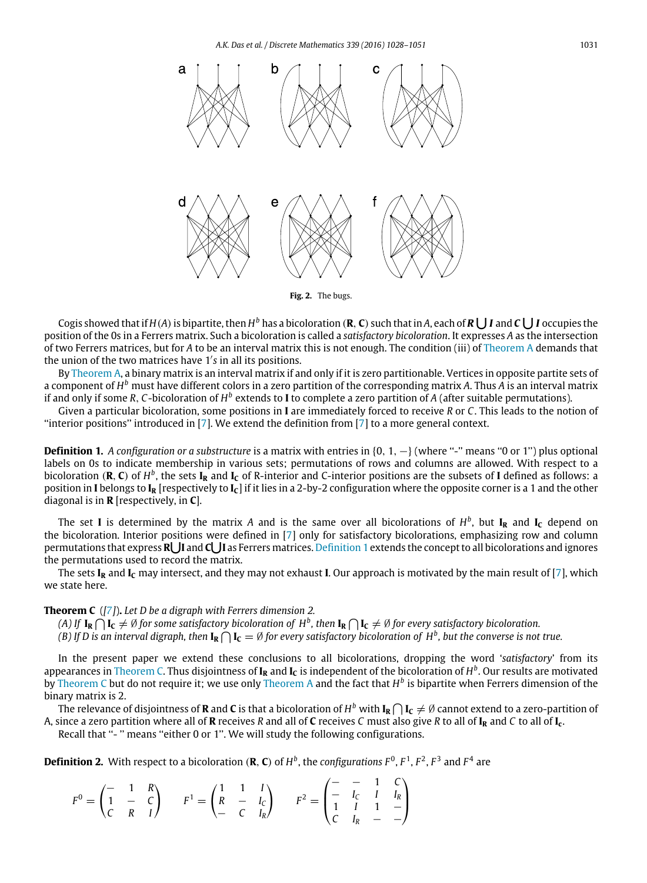<span id="page-3-0"></span>

**Fig. 2.** The bugs.

Cogis showed that if  $H(A)$  is bipartite, then  $H^b$  has a bicoloration (**R**, **C**) such that in A, each of **R**  $\bigcup$  **I** and **C**  $\bigcup$  **I** occupies the position of the 0s in a Ferrers matrix. Such a bicoloration is called a *satisfactory bicoloration*. It expresses *A* as the intersection of two Ferrers matrices, but for *A* to be an interval matrix this is not enough. The condition (iii) of [Theorem A](#page-1-0) demands that the union of the two matrices have 1′ *s* in all its positions.

By [Theorem A,](#page-1-0) a binary matrix is an interval matrix if and only if it is zero partitionable. Vertices in opposite partite sets of a component of *H <sup>b</sup>* must have different colors in a zero partition of the corresponding matrix *A*. Thus *A* is an interval matrix if and only if some R, C-bicoloration of  $H^b$  extends to **I** to complete a zero partition of A (after suitable permutations).

Given a particular bicoloration, some positions in **I** are immediately forced to receive *R* or *C*. This leads to the notion of ''interior positions'' introduced in [\[7\]](#page-22-7). We extend the definition from [\[7\]](#page-22-7) to a more general context.

<span id="page-3-1"></span>**Definition 1.** *A configuration or a substructure* is a matrix with entries in  $\{0, 1, -\}$  (where "-" means "0 or 1") plus optional labels on 0s to indicate membership in various sets; permutations of rows and columns are allowed. With respect to a bicoloration (**R**, **C**) of  $H^b$ , the sets **I<sub>R</sub>** and **I<sub>C</sub>** of R-interior and C-interior positions are the subsets of **I** defined as follows: a position in **I** belongs to **I<sup>R</sup>** [respectively to **IC**] if it lies in a 2-by-2 configuration where the opposite corner is a 1 and the other diagonal is in **R** [respectively, in **C**].

The set **I** is determined by the matrix A and is the same over all bicolorations of  $H^b$ , but  $I_R$  and  $I_C$  depend on the bicoloration. Interior positions were defined in [\[7\]](#page-22-7) only for satisfactory bicolorations, emphasizing row and column permutations that express **R I** and **C I** as Ferrers matrices. [Definition 1](#page-3-1) extends the concept to all bicolorations and ignores the permutations used to record the matrix.

The sets **I<sup>R</sup>** and **I<sup>C</sup>** may intersect, and they may not exhaust **I**. Our approach is motivated by the main result of [\[7\]](#page-22-7), which we state here.

**Theorem C** (*[\[7\]](#page-22-7)*)**.** *Let D be a digraph with Ferrers dimension 2.*

<span id="page-3-2"></span>(A) If  $\bf I_R\bigcap \bf I_C\neq \emptyset$  for some satisfactory bicoloration of  $H^b$ , then  $\bf I_R\bigcap \bf I_C\neq \emptyset$  for every satisfactory bicoloration.

(B) If D is an interval digraph, then  $I_R\bigcap I_C=\emptyset$  for every satisfactory bicoloration of  $H^b$ , but the converse is not true.

In the present paper we extend these conclusions to all bicolorations, dropping the word '*satisfactory*' from its appearances in [Theorem C.](#page-3-2) Thus disjointness of **I<sup>R</sup>** and **I<sup>C</sup>** is independent of the bicoloration of *H b* . Our results are motivated by [Theorem C](#page-3-2) but do not require it; we use only [Theorem A](#page-1-0) and the fact that  $H^b$  is bipartite when Ferrers dimension of the binary matrix is 2.

The relevance of disjointness of **R** and **C** is that a bicoloration of  $H^b$  with  $I_R\bigcap I_C\neq\emptyset$  cannot extend to a zero-partition of A, since a zero partition where all of **R** receives *R* and all of **C** receives *C* must also give *R* to all of  $I_R$  and *C* to all of  $I_c$ .

Recall that "-" means "either 0 or 1". We will study the following configurations.

**Definition 2.** With respect to a bicoloration (**R**, **C**) of  $H^b$ , the *configurations*  $F^0$ ,  $F^1$ ,  $F^2$ ,  $F^3$  and  $F^4$  are

$$
F^{0} = \begin{pmatrix} - & 1 & R \\ 1 & - & C \\ C & R & I \end{pmatrix} \qquad F^{1} = \begin{pmatrix} 1 & 1 & I \\ R & - & I_{C} \\ - & C & I_{R} \end{pmatrix} \qquad F^{2} = \begin{pmatrix} - & - & 1 & C \\ - & I_{C} & I & I_{R} \\ 1 & I & 1 & - \\ C & I_{R} & - & - \end{pmatrix}
$$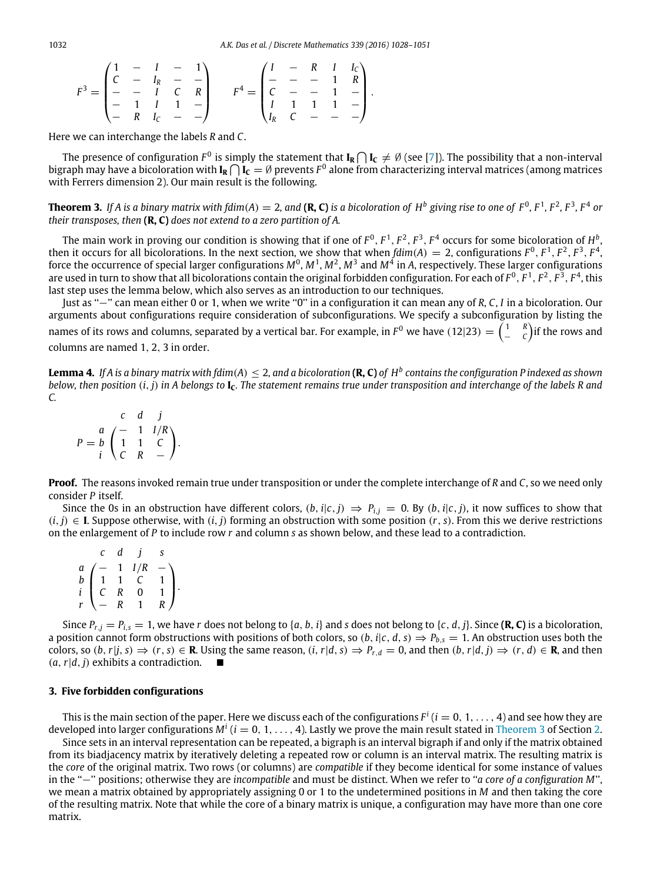1032 *A.K. Das et al. / Discrete Mathematics 339 (2016) 1028–1051*

$$
F^3 = \begin{pmatrix} 1 & - & 1 & - & 1 \\ C & - & I_R & - & - \\ - & - & I & C & R \\ - & 1 & I & 1 & - \\ - & R & I_C & - & - \end{pmatrix} \qquad F^4 = \begin{pmatrix} I & - & R & I & I_C \\ - & - & - & 1 & R \\ C & - & - & 1 & - \\ I & 1 & 1 & 1 & - \\ I_R & C & - & - & - \end{pmatrix}.
$$

Here we can interchange the labels *R* and *C*.

The presence of configuration  $F^0$  is simply the statement that  $I_R\bigcap I_C\neq\emptyset$  (see [\[7\]](#page-22-7)). The possibility that a non-interval bigraph may have a bicoloration with  $I_R\bigcap I_C=\emptyset$  prevents  $F^0$  alone from characterizing interval matrices (among matrices with Ferrers dimension 2). Our main result is the following.

<span id="page-4-0"></span>**Theorem 3.** If A is a binary matrix with fdim(A)  $=$  2, and (**R, C)** is a bicoloration of  $H^b$  giving rise to one of  $F^0$ ,  $F^1$ ,  $F^2$ ,  $F^3$ ,  $F^4$  or *their transposes, then* **(R, C)** *does not extend to a zero partition of A.*

The main work in proving our condition is showing that if one of  $F^0, F^1, F^2, F^3, F^4$  occurs for some bicoloration of  $H^b$ , then it occurs for all bicolorations. In the next section, we show that when  $fdim(A) = 2$ , configurations  $F^0$ ,  $F^1$ ,  $F^2$ ,  $F^3$ ,  $F^4$ , force the occurrence of special larger configurations  $M^0$ ,  $M^1$ ,  $M^2$ ,  $M^3$  and  $M^4$  in A, respectively. These larger configurations are used in turn to show that all bicolorations contain the original forbidden configuration. For each of  $F^0$  ,  $F^1$  ,  $F^2$  ,  $F^3$  ,  $F^4$  , this last step uses the lemma below, which also serves as an introduction to our techniques.

Just as ''−'' can mean either 0 or 1, when we write ''0'' in a configuration it can mean any of *R*, *C*, *I* in a bicoloration. Our arguments about configurations require consideration of subconfigurations. We specify a subconfiguration by listing the names of its rows and columns, separated by a vertical bar. For example, in  $F^0$  we have  $(12|23) = \begin{pmatrix} 1 & R \ - & C \end{pmatrix}$ if the rows and columns are named 1, 2, 3 in order.

<span id="page-4-1"></span>**Lemma 4.** If A is a binary matrix with fdim(A)  $\leq$  2, and a bicoloration **(R, C)** of  $H^b$  contains the configuration P indexed as shown *below, then position* (*i*, *j*) *in A belongs to* **IC***. The statement remains true under transposition and interchange of the labels R and C.*

 $P =$  $\sqrt{ }$ *c d j a*  $/$  − 1 *I*/*R b* 1 1 *C i C R* −  $\lambda$ .

**Proof.** The reasons invoked remain true under transposition or under the complete interchange of *R* and *C*, so we need only consider *P* itself.

Since the 0s in an obstruction have different colors,  $(b, i|c, j) \Rightarrow P_{i,j} = 0$ . By  $(b, i|c, j)$ , it now suffices to show that  $(i, j) \in I$ . Suppose otherwise, with  $(i, j)$  forming an obstruction with some position  $(r, s)$ . From this we derive restrictions on the enlargement of *P* to include row *r* and column *s* as shown below, and these lead to a contradiction.

|                                         |                                                | d                |                   | S |
|-----------------------------------------|------------------------------------------------|------------------|-------------------|---|
|                                         |                                                |                  | $I/R$<br>$C$<br>0 |   |
| $\begin{matrix} a\\ b\\ i \end{matrix}$ | $\begin{pmatrix} - & 1 \\ 1 & 1 \end{pmatrix}$ |                  |                   |   |
|                                         | $\overline{C}$                                 | $\boldsymbol{R}$ |                   |   |
|                                         | $\overline{\phantom{0}}$                       | $\overline{R}$   |                   | R |

Since  $P_{r,j} = P_{i,s} = 1$ , we have r does not belong to {a, b, i} and s does not belong to {c, d, j}. Since (**R, C**) is a bicoloration, a position cannot form obstructions with positions of both colors, so  $(b, i|c, d, s) \Rightarrow P_{b,s} = 1$ . An obstruction uses both the colors, so  $(b, r|j, s) \Rightarrow (r, s) \in \mathbf{R}$ . Using the same reason,  $(i, r|d, s) \Rightarrow P_{r,d} = 0$ , and then  $(b, r|d, j) \Rightarrow (r, d) \in \mathbf{R}$ , and then (*a*,*r*|*d*, *j*) exhibits a contradiction.

#### <span id="page-4-2"></span>**3. Five forbidden configurations**

This is the main section of the paper. Here we discuss each of the configurations  $F^i$   $(i=0,\,1,\,\ldots,4)$  and see how they are developed into larger configurations  $M^i$  ( $i=0,1,\ldots,4$ ). Lastly we prove the main result stated in [Theorem 3](#page-4-0) of Section [2.](#page-2-0)

Since sets in an interval representation can be repeated, a bigraph is an interval bigraph if and only if the matrix obtained from its biadjacency matrix by iteratively deleting a repeated row or column is an interval matrix. The resulting matrix is the *core* of the original matrix. Two rows (or columns) are *compatible* if they become identical for some instance of values in the ''−'' positions; otherwise they are *incompatible* and must be distinct. When we refer to ''*a core of a configuration M*'', we mean a matrix obtained by appropriately assigning 0 or 1 to the undetermined positions in *M* and then taking the core of the resulting matrix. Note that while the core of a binary matrix is unique, a configuration may have more than one core matrix.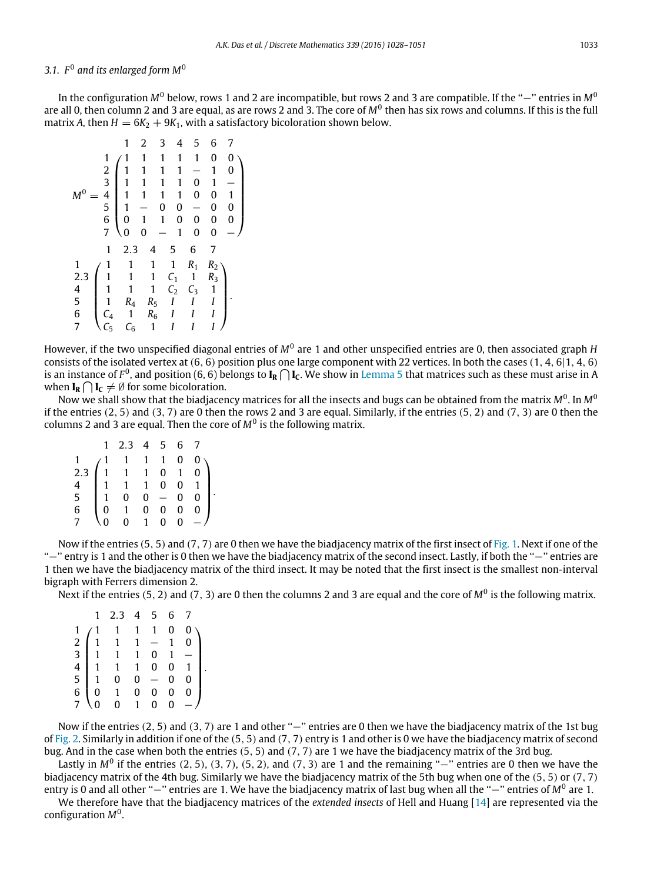# <span id="page-5-0"></span>3.1.  $F^0$  and its enlarged form M<sup>0</sup>

In the configuration *M*<sup>0</sup> below, rows 1 and 2 are incompatible, but rows 2 and 3 are compatible. If the ''−'' entries in *M*<sup>0</sup> are all 0, then column 2 and 3 are equal, as are rows 2 and 3. The core of M<sup>0</sup> then has six rows and columns. If this is the full matrix *A*, then  $H = 6K_2 + 9K_1$ , with a satisfactory bicoloration shown below.

|                 |                  | 1              | 2            | 3              | 4 | 5            | 6            | 7            |
|-----------------|------------------|----------------|--------------|----------------|---|--------------|--------------|--------------|
|                 | $\mathbf{1}$     | 1              | 1            | 1              | 1 | $\mathbf{1}$ | 0            | 0            |
|                 | 234567           | 1              | 1            | 1              | 1 |              | 1            | 0            |
|                 |                  | $\mathbf{1}$   | 1            | 1              | 1 | 0            | 1            |              |
| $M^0$           |                  | $\mathbf{1}$   | 1            | 1              | 1 | 0            | 0            | $\mathbf{1}$ |
|                 |                  | 1              |              | 0              | 0 |              | 0            | $\bf{0}$     |
|                 |                  | $\overline{0}$ | 1            | 1              | 0 | 0            | 0            | $\bf{0}$     |
|                 |                  | 0              | 0            |                | 1 | $\mathbf 0$  | 0            |              |
|                 | $\mathbf{1}$     | 2.3            | 4            | 5              |   | 6            | 7            |              |
|                 | 1                | 1              | 1            | 1              |   | $R_1$        | $R_2$        |              |
| $\frac{2.3}{4}$ | $\mathbf{1}$     | 1              | 1            | C <sub>1</sub> |   | 1            | $R_3$        |              |
|                 | 1                | 1              | $\mathbf{1}$ | C <sub>2</sub> |   | $C_3$        | $\mathbf{1}$ |              |
| 5               | 1                | $R_4$          | $R_5$        | I              |   | I            | I            |              |
| 6               | $C_4$            | 1              | $R_6$        | I              |   |              | I            |              |
| 7               | $\overline{C_5}$ | $C_6$          | $\mathbf{1}$ |                |   |              |              |              |

However, if the two unspecified diagonal entries of M<sup>0</sup> are 1 and other unspecified entries are 0, then associated graph H consists of the isolated vertex at (6, 6) position plus one large component with 22 vertices. In both the cases (1, 4, 6|1, 4, 6) is an instance of  $F^0$ , and position (6, 6) belongs to  $I_R\bigcap I_C$ . We show in [Lemma 5](#page-6-0) that matrices such as these must arise in A when  $I_R \cap I_C \neq \emptyset$  for some bicoloration.

Now we shall show that the biadjacency matrices for all the insects and bugs can be obtained from the matrix  $M^0$ . In  $M^0$ if the entries  $(2, 5)$  and  $(3, 7)$  are 0 then the rows 2 and 3 are equal. Similarly, if the entries  $(5, 2)$  and  $(7, 3)$  are 0 then the columns 2 and 3 are equal. Then the core of *M*<sup>0</sup> is the following matrix.

|                                                                              | 1 2.3 4 5 6 7                                                                                                                                                                      |  |  |  |
|------------------------------------------------------------------------------|------------------------------------------------------------------------------------------------------------------------------------------------------------------------------------|--|--|--|
|                                                                              | $\begin{pmatrix} 1 & 1 & 1 & 1 & 0 & 0 \\ 1 & 1 & 1 & 0 & 1 & 0 \\ 1 & 1 & 1 & 0 & 0 & 1 \\ 1 & 0 & 0 & - & 0 & 0 \\ 0 & 1 & 0 & 0 & 0 & 0 \\ 0 & 0 & 1 & 0 & 0 & - \end{pmatrix}$ |  |  |  |
| 2.3                                                                          |                                                                                                                                                                                    |  |  |  |
|                                                                              |                                                                                                                                                                                    |  |  |  |
| $\begin{array}{cc} 4 \\ 5 \end{array}$ $\begin{array}{c} 1 \\ 1 \end{array}$ |                                                                                                                                                                                    |  |  |  |
| 6                                                                            |                                                                                                                                                                                    |  |  |  |
|                                                                              | $\overline{0}$                                                                                                                                                                     |  |  |  |

Now if the entries  $(5, 5)$  and  $(7, 7)$  are 0 then we have the biadjacency matrix of the first insect of [Fig. 1.](#page-2-1) Next if one of the ''−'' entry is 1 and the other is 0 then we have the biadjacency matrix of the second insect. Lastly, if both the ''−'' entries are 1 then we have the biadjacency matrix of the third insect. It may be noted that the first insect is the smallest non-interval bigraph with Ferrers dimension 2.

Next if the entries (5, 2) and (7, 3) are 0 then the columns 2 and 3 are equal and the core of M<sup>0</sup> is the following matrix.

|                            |                | 2.3            |                                                 | $5\phantom{.0}$                                | 6 |   |  |
|----------------------------|----------------|----------------|-------------------------------------------------|------------------------------------------------|---|---|--|
|                            |                |                | $\mathbf{1}$                                    | $\mathbf{1}$                                   | 0 |   |  |
| 2<br>3<br>4<br>5<br>6<br>6 | $\overline{1}$ | $\mathbf{1}$   |                                                 | $\begin{pmatrix} 1 & 1 \\ 1 & 0 \end{pmatrix}$ |   |   |  |
|                            |                | $\mathbf{1}$   |                                                 |                                                |   |   |  |
|                            |                | $\mathbf{1}$   |                                                 | 0                                              | 0 |   |  |
|                            |                | $\mathbf{0}$   | $\begin{array}{c} 1 \\ 0 \\ 0 \\ 1 \end{array}$ | $\equiv$                                       | 0 |   |  |
|                            | $\mathbf{0}$   |                |                                                 | 0                                              | 0 | 0 |  |
|                            |                | $\overline{0}$ |                                                 | 0                                              |   |   |  |

Now if the entries (2, 5) and (3, 7) are 1 and other "–" entries are 0 then we have the biadjacency matrix of the 1st bug of [Fig. 2.](#page-3-0) Similarly in addition if one of the  $(5, 5)$  and  $(7, 7)$  entry is 1 and other is 0 we have the biadjacency matrix of second bug. And in the case when both the entries (5, 5) and (7, 7) are 1 we have the biadjacency matrix of the 3rd bug.

Lastly in  $M^0$  if the entries (2, 5), (3, 7), (5, 2), and (7, 3) are 1 and the remaining " $-$ " entries are 0 then we have the biadjacency matrix of the 4th bug. Similarly we have the biadjacency matrix of the 5th bug when one of the (5, 5) or (7, 7) entry is 0 and all other "−" entries are 1. We have the biadjacency matrix of last bug when all the "−" entries of M<sup>0</sup> are 1.

We therefore have that the biadjacency matrices of the *extended insects* of Hell and Huang [\[14\]](#page-23-4) are represented via the configuration *M*<sup>0</sup> .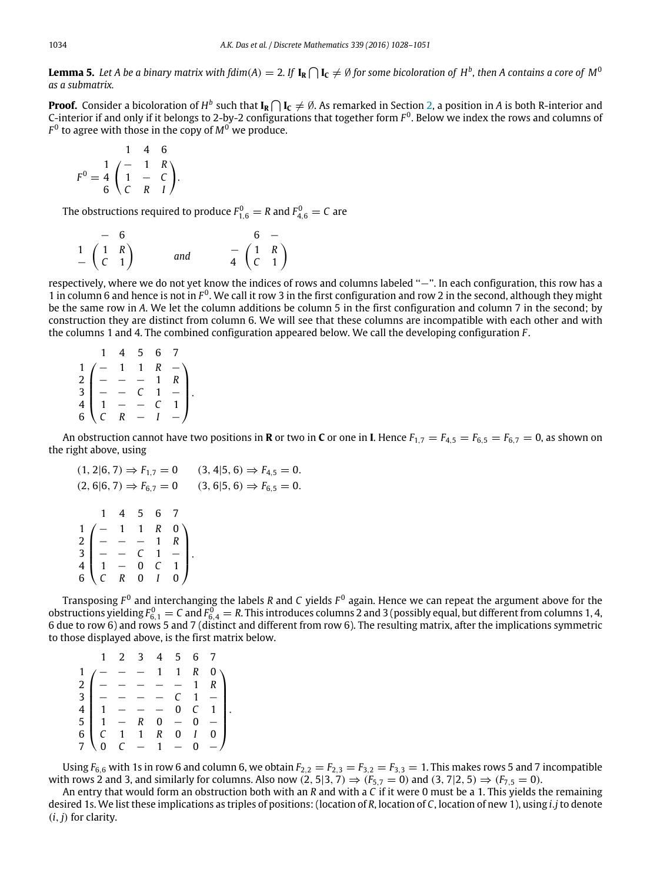<span id="page-6-0"></span>**Lemma 5.** Let A be a binary matrix with fdim(A)  $=$  2. If  $I_R\bigcap I_C\neq\emptyset$  for some bicoloration of  $H^b$ , then A contains a core of  $M^0$ *as a submatrix.*

**Proof.** Consider a bicoloration of  $H^b$  such that  $I_R\bigcap I_C\neq\emptyset$ . As remarked in Section [2,](#page-2-0) a position in A is both R-interior and C-interior if and only if it belongs to 2-by-2 configurations that together form  $F^0$ . Below we index the rows and columns of  $F^0$  to agree with those in the copy of  $M^0$  we produce.

$$
F^{0} = \frac{1}{4} \begin{pmatrix} - & 1 & R \\ 1 & - & C \\ 6 & C & R & I \end{pmatrix}.
$$

The obstructions required to produce  $F_{1,6}^0 = R$  and  $F_{4,6}^0 = C$  are

| — 6                                            |     |  | $6-$                                           |
|------------------------------------------------|-----|--|------------------------------------------------|
| $\begin{pmatrix} 1 & R \\ C & 1 \end{pmatrix}$ | and |  | $\begin{pmatrix} 1 & R \\ C & 1 \end{pmatrix}$ |

respectively, where we do not yet know the indices of rows and columns labeled "-". In each configuration, this row has a 1 in column 6 and hence is not in  $F^0$ . We call it row 3 in the first configuration and row 2 in the second, although they might be the same row in *A*. We let the column additions be column 5 in the first configuration and column 7 in the second; by construction they are distinct from column 6. We will see that these columns are incompatible with each other and with the columns 1 and 4. The combined configuration appeared below. We call the developing configuration *F* .

|                                                                                                                                                                              | 4 5 6 7 |         |  |
|------------------------------------------------------------------------------------------------------------------------------------------------------------------------------|---------|---------|--|
|                                                                                                                                                                              |         | $R - R$ |  |
|                                                                                                                                                                              |         |         |  |
|                                                                                                                                                                              |         |         |  |
|                                                                                                                                                                              |         |         |  |
| $\begin{array}{c} 1 \ 2 \ 2 \ - \ - \ - \ - \ 1 \ \ R \ 3 \ - \ - \ \ C \ \ 1 \ - \ - \ 1 \ - \ 4 \ 4 \ \ 1 \ - \ - \ \ C \ \ 1 \ - \ 5 \ \ C \ \ R \ - \ 1 \ - \end{array}$ |         |         |  |

An obstruction cannot have two positions in **R** or two in **C** or one in **I**. Hence  $F_{1,7} = F_{4,5} = F_{6,5} = F_{6,7} = 0$ , as shown on the right above, using

|           |  |                                                                                                                                                                                           | $(1, 2 6, 7) \Rightarrow F_{1,7} = 0$ $(3, 4 5, 6) \Rightarrow F_{4,5} = 0.$ |
|-----------|--|-------------------------------------------------------------------------------------------------------------------------------------------------------------------------------------------|------------------------------------------------------------------------------|
|           |  |                                                                                                                                                                                           | $(2, 6 6, 7) \Rightarrow F_{6,7} = 0$ $(3, 6 5, 6) \Rightarrow F_{6,5} = 0.$ |
| 1 4 5 6 7 |  | $\begin{array}{c} 1 \\ 2 \\ 3 \\ 4 \\ 6 \end{array} \begin{pmatrix} - & 1 & 1 & R & 0 \\ - & - & - & 1 & R \\ - & - & C & 1 & - \\ 1 & - & 0 & C & 1 \\ C & R & 0 & I & 0 \end{pmatrix}.$ |                                                                              |
|           |  |                                                                                                                                                                                           |                                                                              |

Transposing F<sup>0</sup> and interchanging the labels *R* and C yields F<sup>0</sup> again. Hence we can repeat the argument above for the obstructions yielding  $F_{6,1}^6 = C$  and  $F_{6,4}^0 = R$ . This introduces columns 2 and 3 (possibly equal, but different from columns 1, 4,<br>6 due to row 6) and rows 5 and 7 (distinct and different from row 6). The resulting ma to those displayed above, is the first matrix below.

|  | 1 2 3 4 5 |  | 6 7                                                                                                                                                                                                                                                                                                                                                |
|--|-----------|--|----------------------------------------------------------------------------------------------------------------------------------------------------------------------------------------------------------------------------------------------------------------------------------------------------------------------------------------------------|
|  |           |  | $\frac{1}{2}$ $\begin{pmatrix} - & - & - & 1 & 1 & R & 0 \\ - & - & - & - & - & 1 & R \\ - & - & - & - & C & 1 & - \end{pmatrix}$                                                                                                                                                                                                                  |
|  |           |  |                                                                                                                                                                                                                                                                                                                                                    |
|  |           |  |                                                                                                                                                                                                                                                                                                                                                    |
|  |           |  | $\begin{array}{c} 4 \\ 4 \\ 5 \\ 6 \\ 7 \end{array}$<br>$\begin{array}{c} 1 \\ 1 \\ 1 \\ 6 \end{array}$ $\begin{array}{c} - \\ 1 \\ - \\ 7 \end{array}$ $\begin{array}{c} 0 \\ 1 \\ - \\ 6 \end{array}$ $\begin{array}{c} 0 \\ 1 \\ - \\ 1 \end{array}$ $\begin{array}{c} 0 \\ 0 \\ - \\ 0 \end{array}$ $\begin{array}{c} 0 \\ - \\ 0 \end{array}$ |
|  |           |  |                                                                                                                                                                                                                                                                                                                                                    |
|  |           |  |                                                                                                                                                                                                                                                                                                                                                    |
|  |           |  |                                                                                                                                                                                                                                                                                                                                                    |

Using  $F_{6,6}$  with 1s in row 6 and column 6, we obtain  $F_{2,2} = F_{2,3} = F_{3,2} = F_{3,3} = 1$ . This makes rows 5 and 7 incompatible with rows 2 and 3, and similarly for columns. Also now  $(2, 5|3, 7) \Rightarrow (F_{5,7} = 0)$  and  $(3, 7|2, 5) \Rightarrow (F_{7,5} = 0)$ .

An entry that would form an obstruction both with an *R* and with a *C* if it were 0 must be a 1. This yields the remaining desired 1s. We list these implications as triples of positions: (location of *R*, location of *C*, location of new 1), using *i*.*j* to denote  $(i, j)$  for clarity.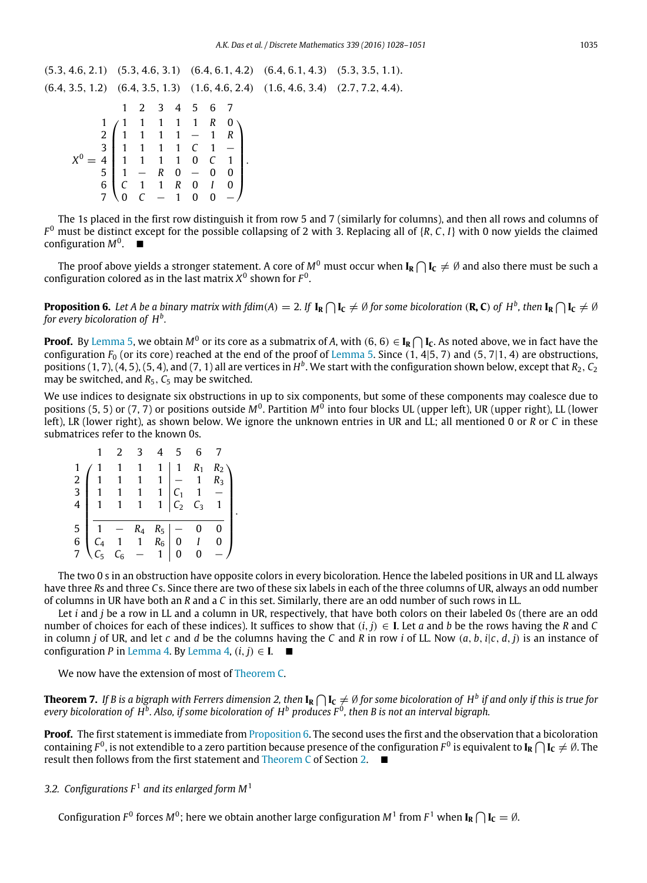(5.3, 4.6, 2.1) (5.3, 4.6, 3.1) (6.4, 6.1, 4.2) (6.4, 6.1, 4.3) (5.3, 3.5, 1.1).  $(6.4, 3.5, 1.2)$   $(6.4, 3.5, 1.3)$   $(1.6, 4.6, 2.4)$   $(1.6, 4.6, 3.4)$   $(2.7, 7.2, 4.4)$ .  $X^0 =$  $\sqrt{ }$  $\begin{array}{c} \begin{array}{c} \begin{array}{c} \begin{array}{c} \end{array} \\ \end{array} \end{array} \end{array}$ 1 2 3 4 5 6 7 1 1 1 1 1 1 *R* 0 2 1 1 1 1 − 1 *R* 3 1 1 1 1 *C* 1 − 4 1 1 1 1 0 *C* 1 5 1 − *R* 0 − 0 0 6 *C* 1 1 *R* 0 *I* 0 7 0 *C* − 1 0 0 −  $\setminus$  $\begin{array}{c} \hline \end{array}$ .

The 1s placed in the first row distinguish it from row 5 and 7 (similarly for columns), and then all rows and columns of *F* <sup>0</sup> must be distinct except for the possible collapsing of 2 with 3. Replacing all of {*R*, *C*, *I*} with 0 now yields the claimed  $\mathop{\mathrm{configuration}} M^0$ .  $\blacksquare$ 

The proof above yields a stronger statement. A core of  $M^0$  must occur when  $I_R\bigcap I_C\neq\emptyset$  and also there must be such a configuration colored as in the last matrix  $X^0$  shown for  $F^0$ .

<span id="page-7-0"></span>**Proposition 6.** Let A be a binary matrix with fdim(A) = 2. If  $I_R \cap I_C \neq \emptyset$  for some bicoloration (**R, C**) of  $H^b$ , then  $I_R \cap I_C \neq \emptyset$ *for every bicoloration of H<sup>b</sup> .*

**Proof.** By [Lemma 5,](#page-6-0) we obtain  $M^0$  or its core as a submatrix of A, with (6, 6)  $\in$  **I<sub>R</sub>**  $\bigcap$  **I<sub>C</sub>**. As noted above, we in fact have the configuration  $F_0$  (or its core) reached at the end of the proof of [Lemma 5.](#page-6-0) Since  $(1, 4|5, 7)$  and  $(5, 7|1, 4)$  are obstructions, positions  $(1, 7)$ ,  $(4, 5)$ ,  $(5, 4)$ , and  $(7, 1)$  all are vertices in  $H^b$ . We start with the configuration shown below, except that  $R_2$ ,  $C_2$ may be switched, and  $R_5$ ,  $C_5$  may be switched.

We use indices to designate six obstructions in up to six components, but some of these components may coalesce due to positions (5, 5) or (7, 7) or positions outside  $M^0$ . Partition  $M^0$  into four blocks UL (upper left), UR (upper right), LL (lower left), LR (lower right), as shown below. We ignore the unknown entries in UR and LL; all mentioned 0 or *R* or *C* in these submatrices refer to the known 0s.

|             |                                          | $\mathcal{L}$ |                                                                                                                | 5 |                                                                          |                     |  |
|-------------|------------------------------------------|---------------|----------------------------------------------------------------------------------------------------------------|---|--------------------------------------------------------------------------|---------------------|--|
|             |                                          |               | $\overline{1}$                                                                                                 |   | $\begin{array}{c cc} 1 & 1 & R_1 \\ 1 & - & 1 \end{array}$               | $R_2 \setminus R_3$ |  |
|             | $\begin{array}{c} 2 \ 3 \ 1 \end{array}$ |               | $1 \quad 1$                                                                                                    |   |                                                                          |                     |  |
|             |                                          |               | $\begin{array}{ c c c c }\n1 & 1 & 1 \\ 1 & 1 & 1\n\end{array}$                                                |   |                                                                          |                     |  |
| 4           |                                          |               |                                                                                                                |   | $\begin{array}{c cc}\n1 & C_1 & 1 & - \\ 1 & C_2 & C_3 & 1\n\end{array}$ |                     |  |
|             |                                          |               |                                                                                                                |   |                                                                          |                     |  |
|             |                                          |               |                                                                                                                |   | $\begin{bmatrix} 0 & 0 \\ 0 & I \end{bmatrix}$                           | 0                   |  |
| 5<br>6<br>7 |                                          |               |                                                                                                                |   |                                                                          | $\bf{0}$            |  |
|             |                                          |               | $\begin{array}{ccc ccc}\n1 & - & R_4 & R_5 & - \\ C_4 & 1 & 1 & R_6 & 0 \\ C_5 & C_6 & - & 1 & 0\n\end{array}$ |   |                                                                          |                     |  |

The two 0 s in an obstruction have opposite colors in every bicoloration. Hence the labeled positions in UR and LL always have three *R*s and three *C*s. Since there are two of these six labels in each of the three columns of UR, always an odd number of columns in UR have both an *R* and a *C* in this set. Similarly, there are an odd number of such rows in LL.

Let *i* and *j* be a row in LL and a column in UR, respectively, that have both colors on their labeled 0s (there are an odd number of choices for each of these indices). It suffices to show that  $(i, j) \in I$ . Let *a* and *b* be the rows having the *R* and *C* in column *j* of UR, and let *c* and *d* be the columns having the *C* and *R* in row *i* of LL. Now (*a*, *b*, *i*|*c*, *d*, *j*) is an instance of configuration *P* in [Lemma 4.](#page-4-1) By [Lemma 4,](#page-4-1)  $(i, j) \in I$ .

We now have the extension of most of [Theorem C.](#page-3-2)

**Theorem 7.** If B is a bigraph with Ferrers dimension 2, then  $I_R\bigcap I_C\neq\emptyset$  for some bicoloration of  $H^b$  if and only if this is true for *every bicoloration of H<sup>b</sup> . Also, if some bicoloration of H<sup>b</sup> produces F* <sup>0</sup> *, then B is not an interval bigraph.*

**Proof.** The first statement is immediate from [Proposition 6.](#page-7-0) The second uses the first and the observation that a bicoloration containing  $F^0$ , is not extendible to a zero partition because presence of the configuration  $F^0$  is equivalent to  $I_R\bigcap I_C\neq\emptyset$ . The result then follows from the first statement and [Theorem C](#page-3-2) of Section [2.](#page-2-0)

3.2. Configurations  $F^1$  and its enlarged form  $M^1$ 

Configuration  $F^0$  forces M $^0$ ; here we obtain another large configuration M $^1$  from  $F^1$  when  $I_R \bigcap I_C = \emptyset$ .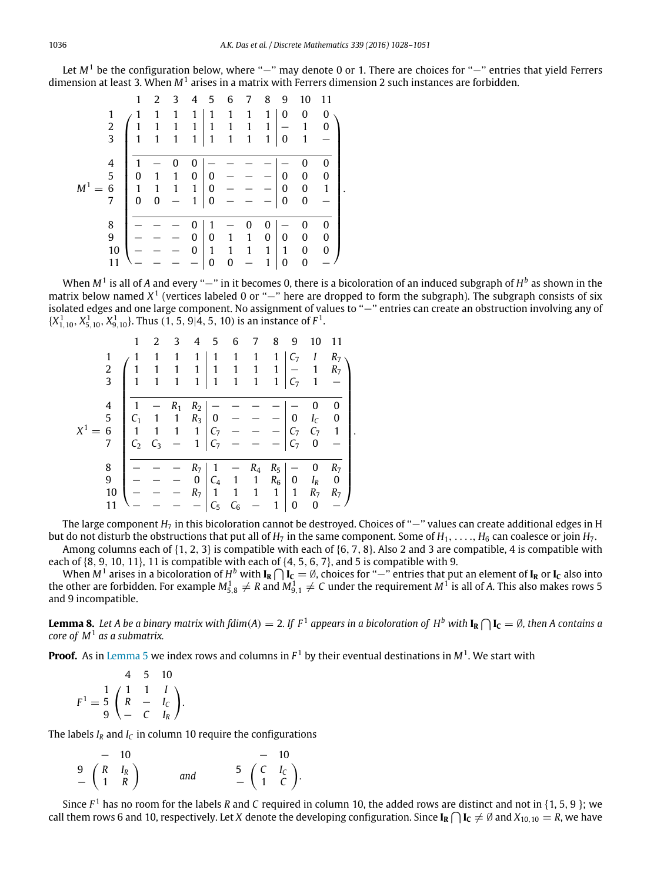Let *M*<sup>1</sup> be the configuration below, where "−" may denote 0 or 1. There are choices for "−" entries that yield Ferrers dimension at least 3. When *M*<sup>1</sup> arises in a matrix with Ferrers dimension 2 such instances are forbidden.

|                    |               | 1 | 2 | 3 | 4            | 5            | 6 | 7 | 8            | 9 | 10 | 11               |  |
|--------------------|---------------|---|---|---|--------------|--------------|---|---|--------------|---|----|------------------|--|
|                    | 1             |   | 1 |   | 1            | 1            | 1 |   | 1            | 0 | 0  | 0                |  |
|                    | $\frac{2}{3}$ |   |   | 1 | 1            | $\mathbf{1}$ | 1 | 1 | $\mathbf{1}$ |   | 1  | n                |  |
|                    |               | 1 | 1 | 1 | 1            | $\mathbf{1}$ | 1 | 1 | 1            | 0 | 1  |                  |  |
|                    |               |   |   |   |              |              |   |   |              |   |    |                  |  |
|                    | 4             |   |   |   | 0            |              |   |   |              |   | 0  | 0                |  |
|                    | 5             | O |   | 1 | 0            | 0            |   |   |              | 0 | 0  | 0                |  |
| $\boldsymbol{M}^1$ | 6             | 1 |   | 1 | 1            | 0            |   |   |              | 0 | 0  | $\mathbf{1}$     |  |
|                    | 7             | 0 | 0 |   | $\mathbf{1}$ | 0            |   |   |              | 0 | 0  |                  |  |
|                    |               |   |   |   |              |              |   |   |              |   |    |                  |  |
|                    | 8             |   |   |   | 0            |              |   | 0 | O            |   | N  |                  |  |
|                    | 9             |   |   |   | 0            | 0            |   |   | 0            | 0 | 0  | 0                |  |
|                    | 10            |   |   |   | 0            | 1            | 1 | 1 | $\mathbf{1}$ | 1 | 0  | $\boldsymbol{0}$ |  |
|                    | 11            |   |   |   |              | 0            | 0 |   | 1            | 0 | 0  |                  |  |
|                    |               |   |   |   |              |              |   |   |              |   |    |                  |  |

When M<sup>1</sup> is all of A and every "−" in it becomes 0, there is a bicoloration of an induced subgraph of H<sup>b</sup> as shown in the matrix below named *X*<sup>1</sup> (vertices labeled 0 or "−" here are dropped to form the subgraph). The subgraph consists of six isolated edges and one large component. No assignment of values to ''−'' entries can create an obstruction involving any of  $\{X_{1,10}^1, X_{5,10}^1, X_{9,10}^1\}$ . Thus (1, 5, 9|4, 5, 10) is an instance of  $F^1$ .

|                |                                        | 1              | 2     | 3     | 4              | 5              | 6              | 7                  | 8            | 9              | 10             | 11               |
|----------------|----------------------------------------|----------------|-------|-------|----------------|----------------|----------------|--------------------|--------------|----------------|----------------|------------------|
| 1              |                                        | $\mathbf{1}$   | 1     | 1     | 1              | 1              | 1              | 1                  | 1            | C <sub>7</sub> | I              | R <sub>7</sub>   |
| $\frac{2}{3}$  |                                        |                |       | 1     | 1              | 1              | 1              | 1                  | 1            |                |                | R <sub>7</sub>   |
|                |                                        | 1              |       | 1     | 1              | $\mathbf{1}$   | 1              | 1                  | $\mathbf{1}$ | С7             | 1              |                  |
|                |                                        |                |       |       |                |                |                |                    |              |                |                |                  |
| $\overline{4}$ |                                        |                |       | $R_1$ | R <sub>2</sub> |                |                |                    |              |                | 0              | 0                |
| $\frac{5}{6}$  |                                        | C <sub>1</sub> |       | 1     | $R_3$          | 0              |                |                    |              | 0              | Ι <sub>C</sub> | 0                |
| $\mathbf{v}^1$ |                                        | 1              |       |       | $\mathbf{1}$   | C <sub>7</sub> |                |                    |              | $C_7$          | C <sub>7</sub> | 1                |
| 7              |                                        | C <sub>2</sub> | $C_3$ |       | $\mathbf{1}$   | C <sub>7</sub> |                |                    |              | C7             | 0              |                  |
|                |                                        |                |       |       |                |                |                |                    |              |                |                |                  |
| 8              |                                        |                |       |       | R <sub>7</sub> |                |                | $\ensuremath{R}_4$ | $R_5$        |                | 0              | R <sub>7</sub>   |
|                | $\begin{array}{c} 9 \\ 10 \end{array}$ |                |       |       | 0              | $C_4$          | 1              | 1                  | $R_6$        | 0              | $I_R$          | $\boldsymbol{0}$ |
|                |                                        |                |       |       | R <sub>7</sub> | 1              | 1              | 1                  | $\mathbf{1}$ | $\mathbf{1}$   | R <sub>7</sub> | R <sub>7</sub>   |
|                |                                        |                |       |       |                | $C_5$          | $\mathsf{C}_6$ |                    | 1            | 0              | $\overline{0}$ |                  |

The large component *H<sub>7</sub>* in this bicoloration cannot be destroyed. Choices of "−" values can create additional edges in H but do not disturb the obstructions that put all of  $H_7$  in the same component. Some of  $H_1, \ldots, H_6$  can coalesce or join  $H_7$ .

.

Among columns each of  $\{1, 2, 3\}$  is compatible with each of  $\{6, 7, 8\}$ . Also 2 and 3 are compatible, 4 is compatible with each of  $\{8, 9, 10, 11\}$ , 11 is compatible with each of  $\{4, 5, 6, 7\}$ , and 5 is compatible with 9.

When  $M^1$  arises in a bicoloration of  $H^b$  with  $I_R\bigcap I_C=\emptyset$ , choices for "−" entries that put an element of  $I_R$  or  $I_C$  also into the other are forbidden. For example  $M_{5,8}^1 \neq R$  and  $M_{9,1}^1 \neq C$  under the requirement  $M^1$  is all of A. This also makes rows 5 and 9 incompatible.

<span id="page-8-0"></span>**Lemma 8.** Let A be a binary matrix with fdim(A)  $=$  2. If F<sup>1</sup> appears in a bicoloration of H<sup>b</sup> with  $I_R \cap I_C = \emptyset$ , then A contains a *core of M*<sup>1</sup> *as a submatrix.*

**Proof.** As in [Lemma 5](#page-6-0) we index rows and columns in *F* <sup>1</sup> by their eventual destinations in *M*<sup>1</sup> . We start with

 $F^1 =$  1 1 1 *I* 4 5 10 5  $\left(R - I_c\right)$ 9 − *C I<sup>R</sup>*  $\setminus$ .

The labels  $I_R$  and  $I_C$  in column 10 require the configurations

$$
\begin{array}{ccc}\n- & 10 & & - & 10 \\
9 & \begin{pmatrix} R & I_R \\ 1 & R \end{pmatrix} & \text{and} & \begin{pmatrix} 5 & \begin{pmatrix} C & I_C \\ 1 & C \end{pmatrix} \end{pmatrix}.\n\end{array}
$$

Since  $F^1$  has no room for the labels R and C required in column 10, the added rows are distinct and not in {1, 5, 9 }; we call them rows 6 and 10, respectively. Let *X* denote the developing configuration. Since  $I_R \cap I_C \neq \emptyset$  and  $X_{10,10} = R$ , we have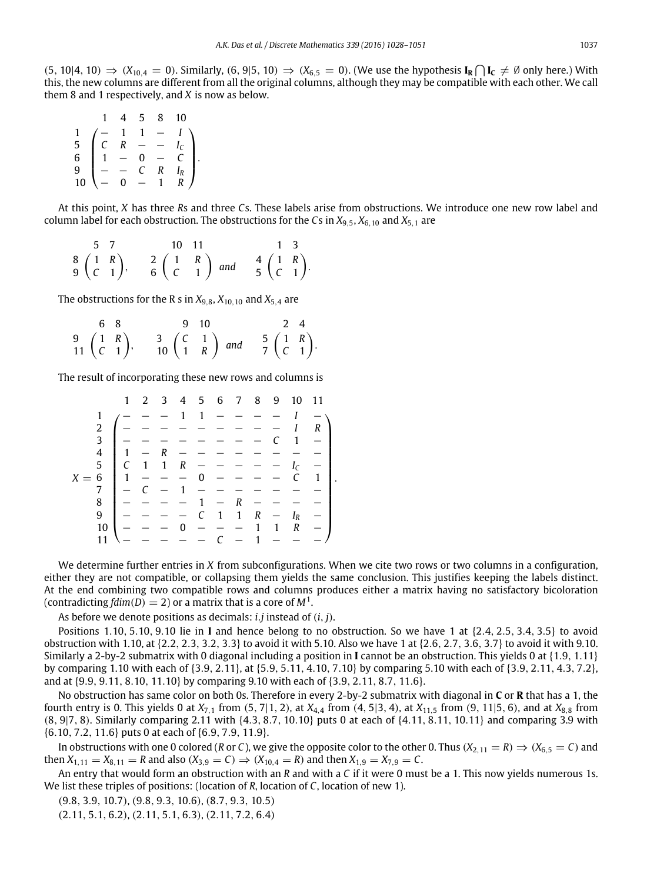$(5, 10|4, 10)$   $\Rightarrow$   $(X_{10,4} = 0)$ . Similarly,  $(6, 9|5, 10)$   $\Rightarrow$   $(X_{6,5} = 0)$ . (We use the hypothesis **I<sub>R</sub>** ∩ **I**<sub>C</sub>  $\neq \emptyset$  only here.) With this, the new columns are different from all the original columns, although they may be compatible with each other. We call them 8 and 1 respectively, and *X* is now as below.

|                                                                                                                                                                                                                                                                                                                                                                                                                                                                                                 | 45 | 8 10 |  |
|-------------------------------------------------------------------------------------------------------------------------------------------------------------------------------------------------------------------------------------------------------------------------------------------------------------------------------------------------------------------------------------------------------------------------------------------------------------------------------------------------|----|------|--|
|                                                                                                                                                                                                                                                                                                                                                                                                                                                                                                 |    |      |  |
|                                                                                                                                                                                                                                                                                                                                                                                                                                                                                                 |    |      |  |
|                                                                                                                                                                                                                                                                                                                                                                                                                                                                                                 |    |      |  |
|                                                                                                                                                                                                                                                                                                                                                                                                                                                                                                 |    |      |  |
| $\begin{array}{c} 1\\5\\6\\9\\10\\-0\end{array} \quad \begin{array}{c} -\\C\\1\\C\\-C\end{array} \quad \begin{array}{c} 1\\R\\R\\-C\end{array} \quad \begin{array}{c} -\\C\\R\end{array} \quad \begin{array}{c} 1\\R\\R\end{array} \\ \begin{array}{c} -\\R\end{array} \quad \begin{array}{c} -\\R\end{array} \quad \begin{array}{c} -\\R\end{array} \quad \begin{array}{c} -\\R\end{array} \quad \begin{array}{c} -\\R\end{array} \quad \begin{array}{c} -\\R\end{array} \quad \begin{array}{$ |    |      |  |

At this point, *X* has three *R*s and three *C*s. These labels arise from obstructions. We introduce one new row label and column label for each obstruction. The obstructions for the *C*s in *X*9,5, *X*6,<sup>10</sup> and *X*5,<sup>1</sup> are

|  | $5\quad 7$ | $10 \t11$ |                                                                                                                                                                              | $1 \quad 3$ |  |
|--|------------|-----------|------------------------------------------------------------------------------------------------------------------------------------------------------------------------------|-------------|--|
|  |            |           | $\begin{pmatrix} 3 & 1 & R \\ C & 1 & 6 \end{pmatrix}$ , $\begin{pmatrix} 2 & 1 & R \\ C & 1 & 6 \end{pmatrix}$ and $\begin{pmatrix} 4 & 1 & R \\ 5 & 2 & 1 \end{pmatrix}$ . |             |  |

The obstructions for the R s in  $X_{9,8}$ ,  $X_{10,10}$  and  $X_{5,4}$  are

| 68 |                                                                                                                                                                      | $9 \t10$ |  |  | 2 4 |  |
|----|----------------------------------------------------------------------------------------------------------------------------------------------------------------------|----------|--|--|-----|--|
|    | $\begin{pmatrix} 1 & R \\ C & 1 \end{pmatrix}$ , $\begin{pmatrix} 3 & C & 1 \\ 1 & R & C \end{pmatrix}$ and $\begin{pmatrix} 5 & 1 & R \\ C & 1 & C \end{pmatrix}$ . |          |  |  |     |  |

The result of incorporating these new rows and columns is

|                   |    |                          |             |        |                |             |                                                            |                          |                |               | 1 2 3 4 5 6 7 8 9 10 11 |                |  |
|-------------------|----|--------------------------|-------------|--------|----------------|-------------|------------------------------------------------------------|--------------------------|----------------|---------------|-------------------------|----------------|--|
|                   |    |                          |             |        |                | $1 \t1 - -$ |                                                            |                          |                |               |                         |                |  |
|                   | 2  |                          |             |        |                |             |                                                            |                          |                |               | I                       | R              |  |
|                   | 3  |                          |             |        |                |             |                                                            |                          |                | C             | $1 -$                   |                |  |
|                   | 4  | $1 \t1 -$                |             |        |                |             |                                                            |                          |                |               |                         |                |  |
|                   |    | 5   C 1 1 R $  -$        |             |        |                |             |                                                            |                          |                |               | $I_{\mathcal{C}}$       |                |  |
| $X = 6$   1 - - - |    |                          |             |        |                | $0 - - - -$ |                                                            |                          |                |               |                         | $\overline{1}$ |  |
|                   | 7  | $\overline{\phantom{a}}$ |             | $\sim$ | $\overline{1}$ |             | $\begin{array}{ccccccccc} - & & - & & - & & - \end{array}$ |                          |                |               |                         |                |  |
|                   | 8  |                          |             |        |                |             | $1 -$                                                      | R                        |                |               |                         |                |  |
|                   | 9  |                          |             |        |                | C           |                                                            |                          |                | 1 1 $R - I_R$ |                         |                |  |
|                   | 10 |                          |             |        |                |             | $\begin{array}{cccccccccc} - & - & - & - \end{array}$      |                          | $\overline{1}$ | 1             | R                       |                |  |
|                   |    |                          | $- - - - -$ |        |                |             |                                                            | $\overline{\phantom{a}}$ |                | $1 - -$       |                         |                |  |

We determine further entries in *X* from subconfigurations. When we cite two rows or two columns in a configuration, either they are not compatible, or collapsing them yields the same conclusion. This justifies keeping the labels distinct. At the end combining two compatible rows and columns produces either a matrix having no satisfactory bicoloration (contradicting  $fdim(D) = 2$ ) or a matrix that is a core of  $M<sup>1</sup>$ .

As before we denote positions as decimals: *i*.*j* instead of (*i*, *j*).

Positions 1.10, 5.10, 9.10 lie in **I** and hence belong to no obstruction. So we have 1 at {2.4, 2.5, 3.4, 3.5} to avoid obstruction with 1.10, at {2.2, 2.3, 3.2, 3.3} to avoid it with 5.10. Also we have 1 at {2.6, 2.7, 3.6, 3.7} to avoid it with 9.10. Similarly a 2-by-2 submatrix with 0 diagonal including a position in **I** cannot be an obstruction. This yields 0 at {1.9, 1.11} by comparing 1.10 with each of {3.9, 2.11}, at {5.9, 5.11, 4.10, 7.10} by comparing 5.10 with each of {3.9, 2.11, 4.3, 7.2}, and at {9.9, 9.11, 8.10, 11.10} by comparing 9.10 with each of {3.9, 2.11, 8.7, 11.6}.

No obstruction has same color on both 0s. Therefore in every 2-by-2 submatrix with diagonal in **C** or **R** that has a 1, the fourth entry is 0. This yields 0 at *X*7,<sup>1</sup> from (5, 7|1, 2), at *X*4,<sup>4</sup> from (4, 5|3, 4), at *X*11,<sup>5</sup> from (9, 11|5, 6), and at *X*8,<sup>8</sup> from (8, 9|7, 8). Similarly comparing 2.11 with {4.3, 8.7, 10.10} puts 0 at each of {4.11, 8.11, 10.11} and comparing 3.9 with {6.10, 7.2, 11.6} puts 0 at each of {6.9, 7.9, 11.9}.

In obstructions with one 0 colored (*R* or *C*), we give the opposite color to the other 0. Thus  $(X_{2,11} = R) \Rightarrow (X_{6,5} = C)$  and then  $X_{1,11} = X_{8,11} = R$  and also  $(X_{3,9} = C) \Rightarrow (X_{10,4} = R)$  and then  $X_{1,9} = X_{7,9} = C$ .

An entry that would form an obstruction with an *R* and with a *C* if it were 0 must be a 1. This now yields numerous 1s. We list these triples of positions: (location of *R*, location of *C*, location of new 1).

(9.8, 3.9, 10.7), (9.8, 9.3, 10.6), (8.7, 9.3, 10.5)

(2.11, 5.1, 6.2), (2.11, 5.1, 6.3), (2.11, 7.2, 6.4)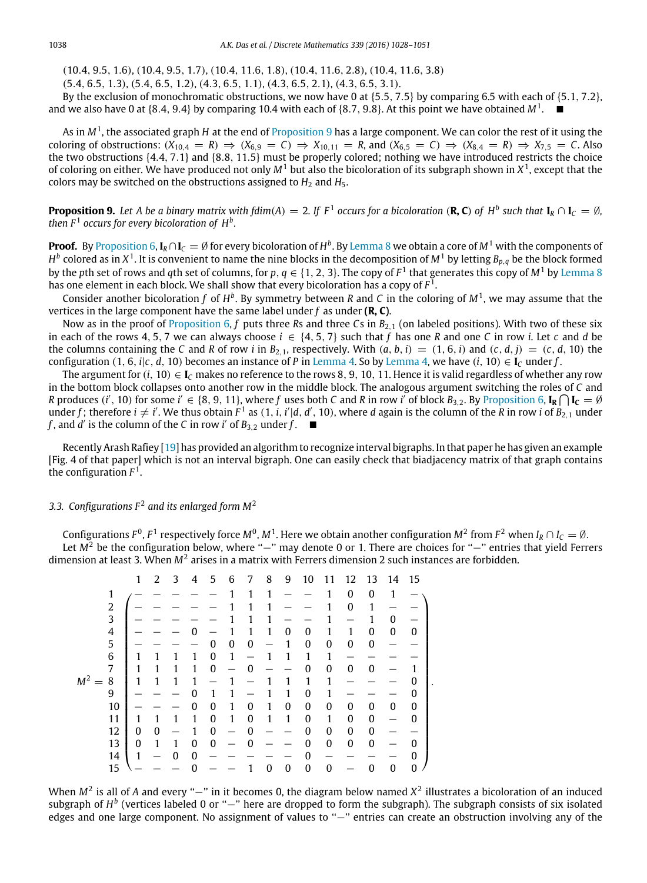(10.4, 9.5, 1.6), (10.4, 9.5, 1.7), (10.4, 11.6, 1.8), (10.4, 11.6, 2.8), (10.4, 11.6, 3.8)

(5.4, 6.5, 1.3), (5.4, 6.5, 1.2), (4.3, 6.5, 1.1), (4.3, 6.5, 2.1), (4.3, 6.5, 3.1).

By the exclusion of monochromatic obstructions, we now have 0 at {5.5, 7.5} by comparing 6.5 with each of {5.1, 7.2}, and we also have 0 at  $\{8.4, 9.4\}$  by comparing 10.4 with each of  $\{8.7, 9.8\}$ . At this point we have obtained  $M^1$ .

As in  $M^1$ , the associated graph H at the end of [Proposition 9](#page-10-0) has a large component. We can color the rest of it using the coloring of obstructions:  $(X_{10,4} = R) \Rightarrow (X_{6,9} = C) \Rightarrow X_{10,11} = R$ , and  $(X_{6,5} = C) \Rightarrow (X_{8,4} = R) \Rightarrow X_{7,5} = C$ . Also the two obstructions {4.4, 7.1} and {8.8, 11.5} must be properly colored; nothing we have introduced restricts the choice of coloring on either. We have produced not only  $M<sup>1</sup>$  but also the bicoloration of its subgraph shown in  $X<sup>1</sup>$ , except that the colors may be switched on the obstructions assigned to  $H_2$  and  $H_5$ .

<span id="page-10-0"></span>**Proposition 9.** Let A be a binary matrix with fdim(A) = 2. If  $F^1$  occurs for a bicoloration (**R, C**) of  $H^b$  such that  $I_R \cap I_C = \emptyset$ , *then*  $F<sup>1</sup>$  occurs for every bicoloration of  $H<sup>b</sup>$ .

**Proof.** By [Proposition 6,](#page-7-0)  $I_R \cap I_C = \emptyset$  for every bicoloration of  $H^b$ . By [Lemma 8](#page-8-0) we obtain a core of  $M^1$  with the components of  $H^b$  colored as in  $X^1.$  It is convenient to name the nine blocks in the decomposition of  $M^1$  by letting  $B_{p,q}$  be the block formed by the *p*th set of rows and *q*th set of columns, for  $p, q \in \{1, 2, 3\}$ . The copy of  $F^1$  that generates this copy of  $M^1$  by [Lemma 8](#page-8-0) has one element in each block. We shall show that every bicoloration has a copy of *F* 1 .

Consider another bicoloration f of  $H^b$ . By symmetry between R and C in the coloring of  $M^1$ , we may assume that the vertices in the large component have the same label under *f* as under **(R, C)**.

Now as in the proof of [Proposition 6,](#page-7-0) *f* puts three *R*s and three *Cs* in  $B_{2,1}$  (on labeled positions). With two of these six in each of the rows 4, 5, 7 we can always choose  $i \in \{4, 5, 7\}$  such that *f* has one *R* and one *C* in row *i*. Let *c* and *d* be the columns containing the *C* and *R* of row *i* in  $B_{2,1}$ , respectively. With  $(a, b, i) = (1, 6, i)$  and  $(c, d, j) = (c, d, 10)$  the configuration (1, 6, *i*|*c*, *d*, 10) becomes an instance of *P* in [Lemma 4.](#page-4-1) So by [Lemma 4,](#page-4-1) we have (*i*, 10)  $\in$  **I**<sub>C</sub> under *f*.

The argument for  $(i, 10) \in I_C$  makes no reference to the rows 8, 9, 10, 11. Hence it is valid regardless of whether any row in the bottom block collapses onto another row in the middle block. The analogous argument switching the roles of *C* and *R* produces (*i'*, 10) for some *i'*  $\in$  {8, 9, 11}, where *f* uses both *C* and *R* in row *i'* of block *B*<sub>3,2</sub>. By [Proposition 6,](#page-7-0) **I<sub>R</sub>**  $\bigcap$ **I<sub>C</sub>** = Ø under *f*; therefore  $i \neq i'$ . We thus obtain  $F^1$  as  $(1, i, i'|d, d', 10)$ , where *d* again is the column of the *R* in row *i* of  $B_{2,1}$  under *f*, and *d'* is the column of the *C* in row *i'* of  $B_{3,2}$  under  $f$ .

Recently Arash Rafiey [\[19\]](#page-23-15) has provided an algorithm to recognize interval bigraphs. In that paper he has given an example [Fig. 4 of that paper] which is not an interval bigraph. One can easily check that biadjacency matrix of that graph contains the configuration  $F^1$ .

# 3.3. Configurations  $F^2$  and its enlarged form  $M^2$

Configurations  $F^0$ ,  $F^1$  respectively force  $M^0$ ,  $M^1$ . Here we obtain another configuration  $M^2$  from  $F^2$  when  $I_R \cap I_C = \emptyset$ . Let *M*<sup>2</sup> be the configuration below, where ''−'' may denote 0 or 1. There are choices for ''-'' entries that yield Ferrers dimension at least 3. When M<sup>2</sup> arises in a matrix with Ferrers dimension 2 such instances are forbidden.

|                | 1            | 2            | 3 | 4 | 5                | 6            | 7            | 8 | 9           | 10           | 11               | 12               | 13           | 14 | 15               |
|----------------|--------------|--------------|---|---|------------------|--------------|--------------|---|-------------|--------------|------------------|------------------|--------------|----|------------------|
| 1              |              |              |   |   |                  |              | 1            | 1 |             |              |                  | 0                | 0            | 1  |                  |
| $\overline{2}$ |              |              |   |   |                  |              | 1            | 1 |             |              |                  | $\mathbf{0}$     | 1            |    |                  |
| 3              |              |              |   |   |                  |              | 1            |   |             |              |                  |                  |              | 0  |                  |
| 4              |              |              |   | በ |                  |              | 1            | 1 | 0           | 0            | 1                | 1                | 0            | 0  | $\boldsymbol{0}$ |
| 5              |              |              |   |   | 0                | 0            | $\mathbf 0$  |   | 1           | 0            | $\boldsymbol{0}$ | $\mathbf{0}$     | $\bf{0}$     |    |                  |
| 6              | 1            |              |   | 1 | $\boldsymbol{0}$ | 1            |              | 1 | 1           | 1            | 1                |                  |              |    |                  |
| 7              | 1            | 1            | 1 | 1 | $\boldsymbol{0}$ |              | 0            |   |             | 0            | $\boldsymbol{0}$ | $\boldsymbol{0}$ | $\bf{0}$     |    |                  |
| $M^2 =$<br>8   | 1            | 1            |   | 1 |                  |              |              |   | 1           | 1            | 1                |                  |              |    | 0                |
| 9              |              |              |   | 0 |                  | 1            |              | 1 | 1           | $\mathbf{0}$ | 1                |                  |              |    | 0                |
| 10             |              |              |   | 0 | $\boldsymbol{0}$ | 1            | 0            | 1 | 0           | 0            | $\boldsymbol{0}$ | 0                | 0            | 0  | 0                |
| 11             | 1            | 1            |   | 1 | $\boldsymbol{0}$ | $\mathbf{1}$ | 0            | 1 | 1           | 0            | 1                | $\mathbf{0}$     | 0            |    | 0                |
| 12             | $\theta$     | $\mathbf{0}$ |   |   | $\boldsymbol{0}$ |              | 0            |   |             | 0            | $\boldsymbol{0}$ | $\mathbf{0}$     | 0            |    |                  |
| 13             | $\mathbf{0}$ | 1            |   | 0 | $\mathbf{0}$     |              | $\mathbf{0}$ |   |             | 0            | $\boldsymbol{0}$ | $\mathbf{0}$     | $\mathbf{0}$ |    | $\theta$         |
| 14             | $\mathbf{1}$ |              | O | 0 |                  |              |              |   |             | 0            |                  |                  |              |    | 0                |
| 15             |              |              |   |   |                  |              |              | 0 | $\mathbf 0$ | 0            | $\boldsymbol{0}$ |                  | $\mathbf{0}$ | 0  | 0                |

When  $M^2$  is all of *A* and every "-" in it becomes 0, the diagram below named  $X^2$  illustrates a bicoloration of an induced subgraph of *H*<sup>b</sup> (vertices labeled 0 or "−" here are dropped to form the subgraph). The subgraph consists of six isolated edges and one large component. No assignment of values to "−" entries can create an obstruction involving any of the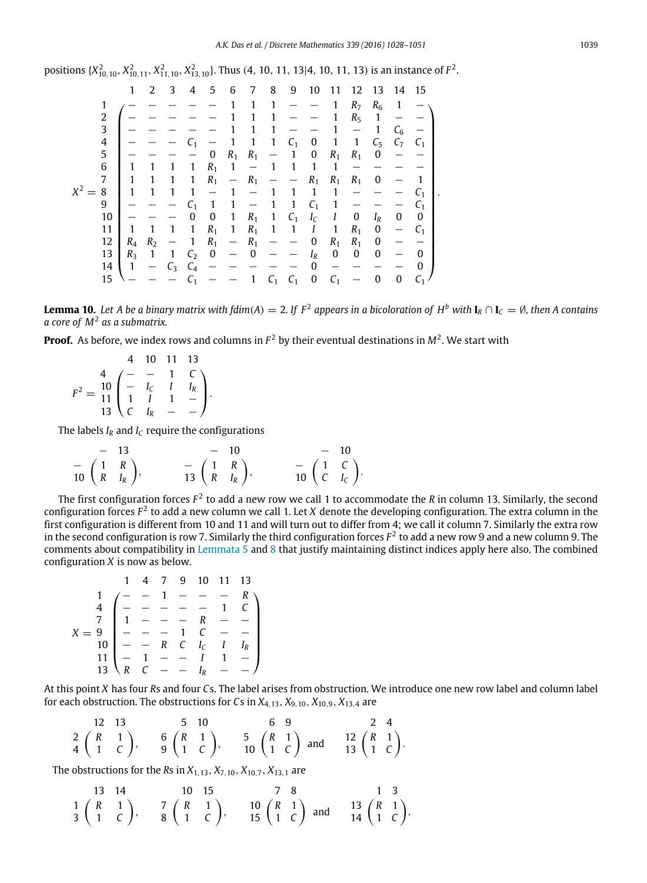positions 
$$
\{X_{10,10}^2, X_{10,11}^2, X_{11,10}^2, X_{13,10}^2\}
$$
. Thus (4, 10, 11, 13|4, 10, 11, 13) is an instance of  $F^2$ .

$$
1\hspace{0.2cm}2\hspace{0.2cm}\begin{pmatrix}1&2&3&4&5&6&7&8&9&10&11&12&13&14&15\\1&-&-&-&-&-1&1&1&1&-&-1&R_7&R_6&1&-&-\\2&-&-&-&-&-1&1&1&1&-&-1&1&R_5&1&-&-\\-1&-&-&-&-1&1&1&1&-&-1&-1&1&C_6&-&-\\4&-&-&-&-1&1&1&1&C_1&0&1&1&C_5&C_7&C_1\\5&-&-&-&-0&R_1R_1&-&1&0&R_1R_1&0&-&-\\6&1&1&1&1&1&R_1&-&R_1&-&-1&R_1R_1&0&-&-\\0&1&1&1&1&1&1&-1&-1&1&1&1&-&-&-1&-\\-1&9&-&-&-1&1&1&-1&-1&1&1&1&-&-&-1&-\\-1&0&0&1&1&1&1&-1&-1&1&1&R_1&0&-1\\-1&1&1&1&1&1&1&1&1&1&1&1&R_1&0&-1\\11&1&1&1&1&1&1&1&1&1&1&1&R_1&0&-1\\R_4&R_2&-&1&R_1&-&R_1&-&-&0&R_1R_1&0&-&-\\12&R_4&R_2&-&1&R_1&-&R_1&-&-&0&R_1R_1&0&-&-\\13&R_3&1&1&C_2&0&-&0&-&-1_R&0&0&0&-&0\\14&1&-&C_3&C_4&-&-&-&-&-&1&C_1&C_1&0&C_1&-&0&0&C_1\end{pmatrix}.
$$

<span id="page-11-0"></span>**Lemma 10.** Let A be a binary matrix with fdim(A)  $=$  2. If  $F^2$  appears in a bicoloration of  $H^b$  with  $I_R \cap I_C = \emptyset$ , then A contains *a core of M*<sup>2</sup> *as a submatrix.*

**Proof.** As before, we index rows and columns in  $F^2$  by their eventual destinations in  $M^2$ . We start with

$$
F^{2} = \frac{4}{11} \begin{pmatrix} 4 & 10 & 11 & 13 \\ - & - & 1 & C \\ - & I_{C} & I & I_{R} \\ 1 & I & 1 & - \\ 13 & C & I_{R} & - & - \end{pmatrix}.
$$

The labels  $I_R$  and  $I_C$  require the configurations

$$
\begin{array}{cccc}\n- & 13 & & & - & 10 & & & - & 10 \\
- & \left(\begin{array}{cc} 1 & R \\ R & I_R \end{array}\right), & & - & \left(\begin{array}{cc} 1 & R \\ R & I_R \end{array}\right), & & - & \left(\begin{array}{cc} 1 & C \\ C & I_C \end{array}\right). \\
\end{array}
$$

The first configuration forces  $F^2$  to add a new row we call 1 to accommodate the *R* in column 13. Similarly, the second configuration forces *F* 2 to add a new column we call 1. Let *X* denote the developing configuration. The extra column in the first configuration is different from 10 and 11 and will turn out to differ from 4; we call it column 7. Similarly the extra row in the second configuration is row 7. Similarly the third configuration forces  $F^2$  to add a new row 9 and a new column 9. The comments about compatibility in [Lemmata 5](#page-6-0) and [8](#page-8-0) that justify maintaining distinct indices apply here also. The combined configuration *X* is now as below.

$$
1 \quad 4 \quad 7 \quad 9 \quad 10 \quad 11 \quad 13
$$
\n
$$
\frac{1}{4} \begin{pmatrix} - & - & 1 & - & - & R \\ - & - & - & - & 1 & C \\ 1 & - & - & - & R & - & - \\ 1 & - & - & - & 1 & C & - & - \\ 10 & - & - & R & C & I & I_R \\ - & - & - & I & - & - & I & - \\ 13 & R & C & - & - & I_R & - & - \end{pmatrix}
$$

At this point *X* has four *R*s and four *C*s. The label arises from obstruction. We introduce one new row label and column label for each obstruction. The obstructions for *Cs* in  $X_{4,13}$ ,  $X_{9,10}$ ,  $X_{10,9}$ ,  $X_{13,4}$  are

12 13 5 10 6 9 2 4  
\n2 
$$
\begin{pmatrix} R & 1 \\ 1 & C \end{pmatrix}
$$
, 6  $\begin{pmatrix} R & 1 \\ 1 & C \end{pmatrix}$ , 5  $\begin{pmatrix} R & 1 \\ 1 & C \end{pmatrix}$  and 12  $\begin{pmatrix} R & 1 \\ 1 & C \end{pmatrix}$ .

The obstructions for the *Rs* in  $X_{1,13}$ ,  $X_{7,10}$ ,  $X_{10,7}$ ,  $X_{13,1}$  are

13 14 10 15 7 8 1 3  
\n1 
$$
\begin{pmatrix} R & 1 \\ 1 & C \end{pmatrix}
$$
, 7  $\begin{pmatrix} R & 1 \\ 8 & 1 \end{pmatrix}$ , 10  $\begin{pmatrix} R & 1 \\ 1 & C \end{pmatrix}$  and 13  $\begin{pmatrix} R & 1 \\ 1 & C \end{pmatrix}$ .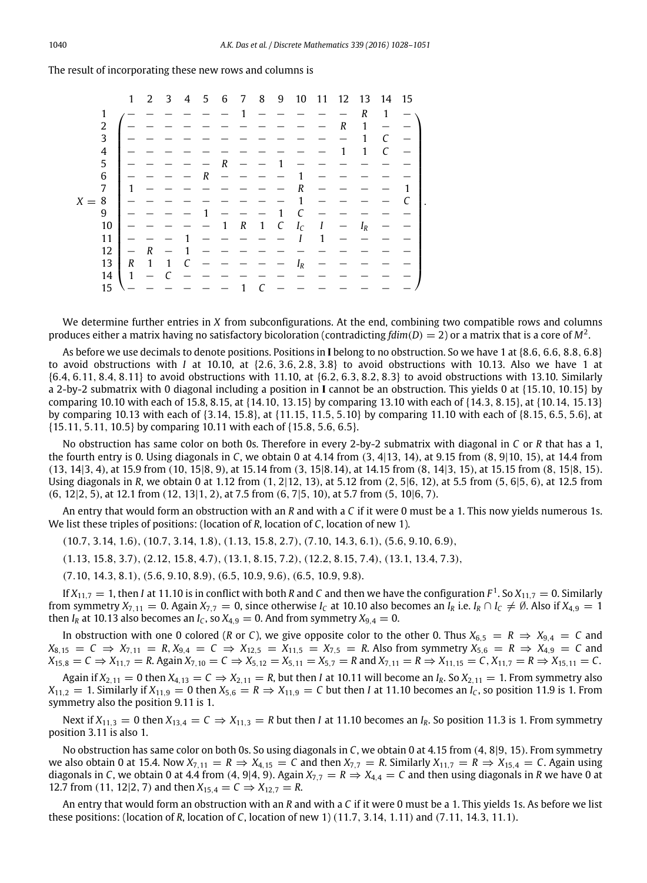The result of incorporating these new rows and columns is

|         |    | $\mathbf{1}$     | 2            | 3 | 4 | 5              | 6 | 7                | 8            | 9 | 10    | 11 |   | 12 13             | 14 | 15 |
|---------|----|------------------|--------------|---|---|----------------|---|------------------|--------------|---|-------|----|---|-------------------|----|----|
|         | 1  |                  |              |   |   |                |   |                  |              |   |       |    |   | R                 | 1  |    |
|         | 2  |                  |              |   |   |                |   |                  |              |   |       |    | R | 1                 |    |    |
|         | 3  |                  |              |   |   |                |   |                  |              |   |       |    |   | 1                 | C  |    |
|         | 4  |                  |              |   |   |                |   |                  |              |   |       |    |   | 1                 | C  |    |
|         | 5  |                  |              |   |   |                | R |                  |              |   |       |    |   |                   |    |    |
|         | 6  |                  |              |   |   | $\overline{R}$ |   |                  |              |   |       |    |   |                   |    |    |
|         | 7  | 1                |              |   |   |                |   |                  |              |   | R     |    |   |                   |    |    |
| $X = 8$ |    |                  |              |   |   |                |   |                  |              |   |       |    |   |                   |    |    |
|         | 9  |                  |              |   |   |                |   |                  |              | 1 | r     |    |   |                   |    |    |
|         | 10 |                  |              |   |   |                | 1 | $\boldsymbol{R}$ | $\mathbf{1}$ | С | $I_C$ | Ι  |   | $I_{\mathcal{R}}$ |    |    |
|         | 11 |                  |              |   |   |                |   |                  |              |   |       |    |   |                   |    |    |
|         | 12 |                  | R            |   |   |                |   |                  |              |   |       |    |   |                   |    |    |
|         | 13 | $\boldsymbol{R}$ | $\mathbf{1}$ | 1 |   |                |   |                  |              |   | $I_R$ |    |   |                   |    |    |
|         | 14 | $\mathbf{1}$     |              |   |   |                |   |                  |              |   |       |    |   |                   |    |    |
|         | 15 |                  |              |   |   |                |   |                  |              |   |       |    |   |                   |    |    |

We determine further entries in *X* from subconfigurations. At the end, combining two compatible rows and columns produces either a matrix having no satisfactory bicoloration (contradicting fdim(D)  $=$  2) or a matrix that is a core of M<sup>2</sup>.

As before we use decimals to denote positions. Positions in **I** belong to no obstruction. So we have 1 at {8.6, 6.6, 8.8, 6.8} to avoid obstructions with *I* at 10.10, at {2.6, 3.6, 2.8, 3.8} to avoid obstructions with 10.13. Also we have 1 at {6.4, 6.11, 8.4, 8.11} to avoid obstructions with 11.10, at {6.2, 6.3, 8.2, 8.3} to avoid obstructions with 13.10. Similarly a 2-by-2 submatrix with 0 diagonal including a position in **I** cannot be an obstruction. This yields 0 at {15.10, 10.15} by comparing 10.10 with each of 15.8, 8.15, at {14.10, 13.15} by comparing 13.10 with each of {14.3, 8.15}, at {10.14, 15.13} by comparing 10.13 with each of {3.14, 15.8}, at {11.15, 11.5, 5.10} by comparing 11.10 with each of {8.15, 6.5, 5.6}, at {15.11, 5.11, 10.5} by comparing 10.11 with each of {15.8, 5.6, 6.5}.

No obstruction has same color on both 0s. Therefore in every 2-by-2 submatrix with diagonal in *C* or *R* that has a 1, the fourth entry is 0. Using diagonals in *C*, we obtain 0 at 4.14 from (3, 4|13, 14), at 9.15 from (8, 9|10, 15), at 14.4 from (13, 14|3, 4), at 15.9 from (10, 15|8, 9), at 15.14 from (3, 15|8.14), at 14.15 from (8, 14|3, 15), at 15.15 from (8, 15|8, 15). Using diagonals in *R*, we obtain 0 at 1.12 from (1, 2|12, 13), at 5.12 from (2, 5|6, 12), at 5.5 from (5, 6|5, 6), at 12.5 from (6, 12|2, 5), at 12.1 from (12, 13|1, 2), at 7.5 from (6, 7|5, 10), at 5.7 from (5, 10|6, 7).

An entry that would form an obstruction with an *R* and with a *C* if it were 0 must be a 1. This now yields numerous 1s. We list these triples of positions: (location of *R*, location of *C*, location of new 1).

(10.7, 3.14, 1.6), (10.7, 3.14, 1.8), (1.13, 15.8, 2.7), (7.10, 14.3, 6.1), (5.6, 9.10, 6.9),

(1.13, 15.8, 3.7), (2.12, 15.8, 4.7), (13.1, 8.15, 7.2), (12.2, 8.15, 7.4), (13.1, 13.4, 7.3),

(7.10, 14.3, 8.1), (5.6, 9.10, 8.9), (6.5, 10.9, 9.6), (6.5, 10.9, 9.8).

If  $X_{11,7}=1$ , then *I* at 11.10 is in conflict with both *R* and *C* and then we have the configuration  $F^1$ . So  $X_{11,7}=0$ . Similarly from symmetry  $X_{7,11} = 0$ . Again  $X_{7,7} = 0$ , since otherwise  $I_c$  at 10.10 also becomes an  $I_R$  i.e.  $I_R \cap I_c \neq \emptyset$ . Also if  $X_{4,9} = 1$ then  $I_R$  at 10.13 also becomes an  $I_C$ , so  $X_{4,9} = 0$ . And from symmetry  $X_{9,4} = 0$ .

In obstruction with one 0 colored (*R* or *C*), we give opposite color to the other 0. Thus  $X_{6,5} = R \Rightarrow X_{9,4} = C$  and  $X_{8,15} = C \Rightarrow X_{7,11} = R, X_{9,4} = C \Rightarrow X_{12,5} = X_{11,5} = X_{7,5} = R$ . Also from symmetry  $X_{5,6} = R \Rightarrow X_{4,9} = C$  and  $X_{15,8} = C \Rightarrow X_{11,7} = R$ . Again  $X_{7,10} = C \Rightarrow X_{5,12} = X_{5,11} = X_{5,7} = R$  and  $X_{7,11} = R \Rightarrow X_{11,15} = C$ ,  $X_{11,7} = R \Rightarrow X_{15,11} = C$ .

Again if  $X_{2,11} = 0$  then  $X_{4,13} = C \Rightarrow X_{2,11} = R$ , but then *I* at 10.11 will become an  $I_R$ . So  $X_{2,11} = 1$ . From symmetry also  $X_{11,2} = 1$ . Similarly if  $X_{11,9} = 0$  then  $X_{5,6} = R \Rightarrow X_{11,9} = C$  but then *I* at 11.10 becomes an *I<sub>C</sub>*, so position 11.9 is 1. From symmetry also the position 9.11 is 1.

Next if  $X_{11,3} = 0$  then  $X_{13,4} = C \Rightarrow X_{11,3} = R$  but then *I* at 11.10 becomes an *I<sub>R</sub>*. So position 11.3 is 1. From symmetry position 3.11 is also 1.

No obstruction has same color on both 0s. So using diagonals in *C*, we obtain 0 at 4.15 from (4, 8|9, 15). From symmetry we also obtain 0 at 15.4. Now  $X_{7,11} = R \Rightarrow X_{4,15} = C$  and then  $X_{7,7} = R$ . Similarly  $X_{11,7} = R \Rightarrow X_{15,4} = C$ . Again using diagonals in *C*, we obtain 0 at 4.4 from (4, 9|4, 9). Again  $X_{7,7} = R \Rightarrow X_{4,4} = C$  and then using diagonals in *R* we have 0 at 12.7 from (11, 12|2, 7) and then  $X_{15,4} = C \Rightarrow X_{12,7} = R$ .

An entry that would form an obstruction with an *R* and with a *C* if it were 0 must be a 1. This yields 1s. As before we list these positions: (location of *R*, location of *C*, location of new 1) (11.7, 3.14, 1.11) and (7.11, 14.3, 11.1).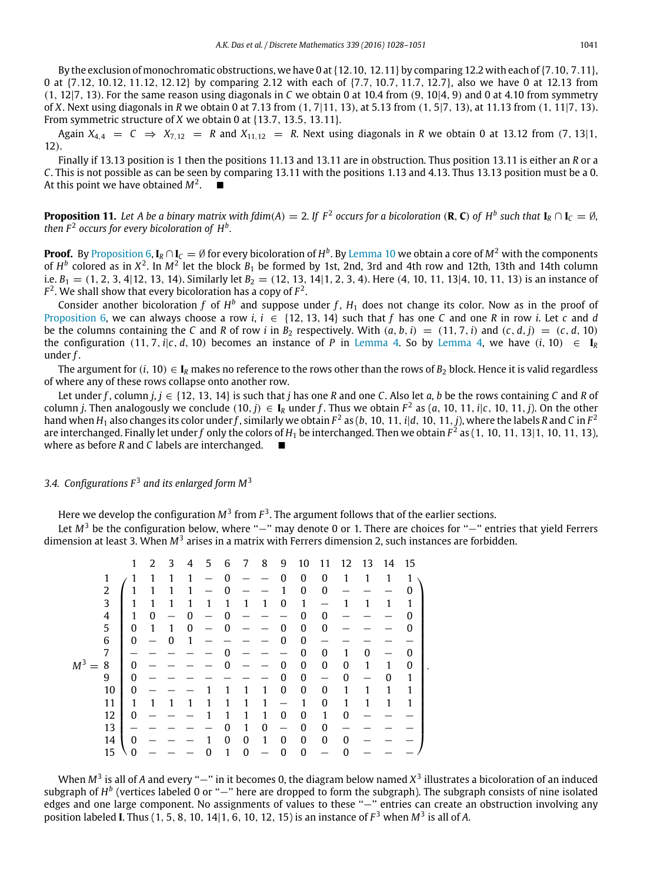By the exclusion of monochromatic obstructions, we have 0 at  $\{12.10, 12.11\}$  by comparing 12.2 with each of  $\{7.10, 7.11\}$ , 0 at {7.12, 10.12, 11.12, 12.12} by comparing 2.12 with each of {7.7, 10.7, 11.7, 12.7}, also we have 0 at 12.13 from (1, 12|7, 13). For the same reason using diagonals in *C* we obtain 0 at 10.4 from (9, 10|4, 9) and 0 at 4.10 from symmetry of *X*. Next using diagonals in *R* we obtain 0 at 7.13 from (1, 7|11, 13), at 5.13 from (1, 5|7, 13), at 11.13 from (1, 11|7, 13). From symmetric structure of *X* we obtain 0 at {13.7, 13.5, 13.11}.

Again  $X_{4,4} = C \Rightarrow X_{7,12} = R$  and  $X_{11,12} = R$ . Next using diagonals in *R* we obtain 0 at 13.12 from (7, 13|1, 12).

Finally if 13.13 position is 1 then the positions 11.13 and 13.11 are in obstruction. Thus position 13.11 is either an *R* or a *C*. This is not possible as can be seen by comparing 13.11 with the positions 1.13 and 4.13. Thus 13.13 position must be a 0. At this point we have obtained  $M^2$ .  $\blacksquare$ 

**Proposition 11.** Let A be a binary matrix with fdim(A)  $=$  2. If  $F^2$  occurs for a bicoloration (**R, C**) of  $H^b$  such that  $I_R \cap I_C = \emptyset$ , then  $F^2$  occurs for every bicoloration of  $H^b$ .

**Proof.** By [Proposition 6,](#page-7-0)  $I_R \cap I_C = \emptyset$  for every bicoloration of  $H^b$ . By [Lemma 10](#page-11-0) we obtain a core of  $M^2$  with the components of  $H^b$  colored as in  $X^2$ . In  $M^2$  let the block  $B_1$  be formed by 1st, 2nd, 3rd and 4th row and 12th, 13th and 14th column i.e.  $B_1 = (1, 2, 3, 4|12, 13, 14)$ . Similarly let  $B_2 = (12, 13, 14|1, 2, 3, 4)$ . Here  $(4, 10, 11, 13|4, 10, 11, 13)$  is an instance of  $F^2$ . We shall show that every bicoloration has a copy of  $F^2$ .

Consider another bicoloration  $f$  of  $H^b$  and suppose under  $f$ ,  $H_1$  does not change its color. Now as in the proof of [Proposition 6,](#page-7-0) we can always choose a row *i*,  $i \in \{12, 13, 14\}$  such that f has one C and one R in row *i*. Let c and d be the columns containing the *C* and *R* of row *i* in  $B_2$  respectively. With  $(a, b, i) = (11, 7, i)$  and  $(c, d, j) = (c, d, 10)$ the configuration (11, 7, *i*| $c$ , *d*, 10) becomes an instance of *P* in [Lemma 4.](#page-4-1) So by [Lemma 4,](#page-4-1) we have (*i*, 10)  $\in$  **I**<sub>R</sub> under *f* .

The argument for  $(i, 10) \in I_R$  makes no reference to the rows other than the rows of  $B_2$  block. Hence it is valid regardless of where any of these rows collapse onto another row.

Let under f, column  $j, j \in \{12, 13, 14\}$  is such that *j* has one *R* and one *C*. Also let *a*, *b* be the rows containing *C* and *R* of column *j*. Then analogously we conclude  $(10, j) \in I_R$  under f. Thus we obtain  $F^2$  as  $(a, 10, 11, i|c, 10, 11, j)$ . On the other hand when  $H_1$  also changes its color under  $f$  , similarly we obtain  $F^2$  as (b, 10, 11,  $i|d$ , 10, 11,  $j$ ), where the labels  $R$  and  $C$  in  $F^2$ are interchanged. Finally let under *f* only the colors of *H*<sup>1</sup> be interchanged. Then we obtain *F* 2 as (1, 10, 11, 13|1, 10, 11, 13), where as before *R* and *C* labels are interchanged.

# *3.4. Configurations F* <sup>3</sup> *and its enlarged form M*<sup>3</sup>

Here we develop the configuration  $M^3$  from  $F^3$ . The argument follows that of the earlier sections.

Let *M*<sup>3</sup> be the configuration below, where "−" may denote 0 or 1. There are choices for "−" entries that yield Ferrers dimension at least 3. When M<sup>3</sup> arises in a matrix with Ferrers dimension 2, such instances are forbidden.

|                         | 1            | 2            | 3 | 4 | 5 | 6                | 7                | 8 | 9            | 10               | 11               | 12 | 13 | 14           | 15 |
|-------------------------|--------------|--------------|---|---|---|------------------|------------------|---|--------------|------------------|------------------|----|----|--------------|----|
| 1                       |              | 1            | 1 | 1 |   | 0                |                  |   | 0            | $\boldsymbol{0}$ | $\mathbf{0}$     | 1  | 1  | 1            | 1  |
| $\overline{c}$          |              |              |   | 1 |   | $\mathbf{0}$     |                  |   | 1            | 0                | $\boldsymbol{0}$ |    |    |              | O  |
| 3                       |              |              | 1 | 1 | 1 | 1                | 1                | 1 | 0            | $\mathbf{1}$     |                  |    |    | 1            | 1  |
| $\overline{\mathbf{4}}$ |              | $\mathbf{0}$ |   | 0 |   | $\Omega$         |                  |   |              | $\mathbf{0}$     | $\boldsymbol{0}$ |    |    |              | O  |
| 5                       | $\mathbf{0}$ | 1            | 1 | 0 |   | 0                |                  |   | 0            | $\bf{0}$         | $\boldsymbol{0}$ |    |    |              | 0  |
| $\,$ 6 $\,$             | $\mathbf{0}$ |              | 0 | 1 |   |                  |                  |   | 0            | 0                |                  |    |    |              |    |
| 7                       |              |              |   |   |   | O                |                  |   |              | 0                | $\boldsymbol{0}$ |    | 0  |              | 0  |
| M <sup>3</sup><br>8     | 0            |              |   |   |   | 0                |                  |   | $\mathbf{0}$ | $\boldsymbol{0}$ | $\mathbf{0}$     | 0  | 1  | 1            | 0  |
| 9                       | $\Omega$     |              |   |   |   |                  |                  |   | 0            | $\boldsymbol{0}$ |                  | 0  |    | $\mathbf{0}$ | 1  |
| 10                      | $\mathbf{0}$ |              |   |   |   |                  |                  | 1 | 0            | $\boldsymbol{0}$ | $\boldsymbol{0}$ | 1  |    | 1            |    |
| 11                      | 1            |              |   |   |   |                  |                  | 1 |              | 1                | $\boldsymbol{0}$ |    | 1  | 1            |    |
| 12                      | $\mathbf{0}$ |              |   |   |   |                  |                  | 1 | 0            | $\bf{0}$         | 1                | 0  |    |              |    |
| 13                      |              |              |   |   |   | 0                | 1                | 0 |              | 0                | 0                |    |    |              |    |
| 14                      | 0            |              |   |   |   | $\boldsymbol{0}$ | $\boldsymbol{0}$ | 1 | 0            | $\boldsymbol{0}$ | $\boldsymbol{0}$ | 0  |    |              |    |
| 15                      | $\theta$     |              |   |   | 0 | 1                | $\bf{0}$         |   | 0            | $\bf{0}$         |                  | U  |    |              |    |

When M<sup>3</sup> is all of A and every "−" in it becomes 0, the diagram below named X<sup>3</sup> illustrates a bicoloration of an induced subgraph of *H*<sup>b</sup> (vertices labeled 0 or "−" here are dropped to form the subgraph). The subgraph consists of nine isolated edges and one large component. No assignments of values to these "-" entries can create an obstruction involving any position labeled **I**. Thus (1, 5, 8, 10, 14|1, 6, 10, 12, 15) is an instance of *F* <sup>3</sup> when *M*<sup>3</sup> is all of *A*.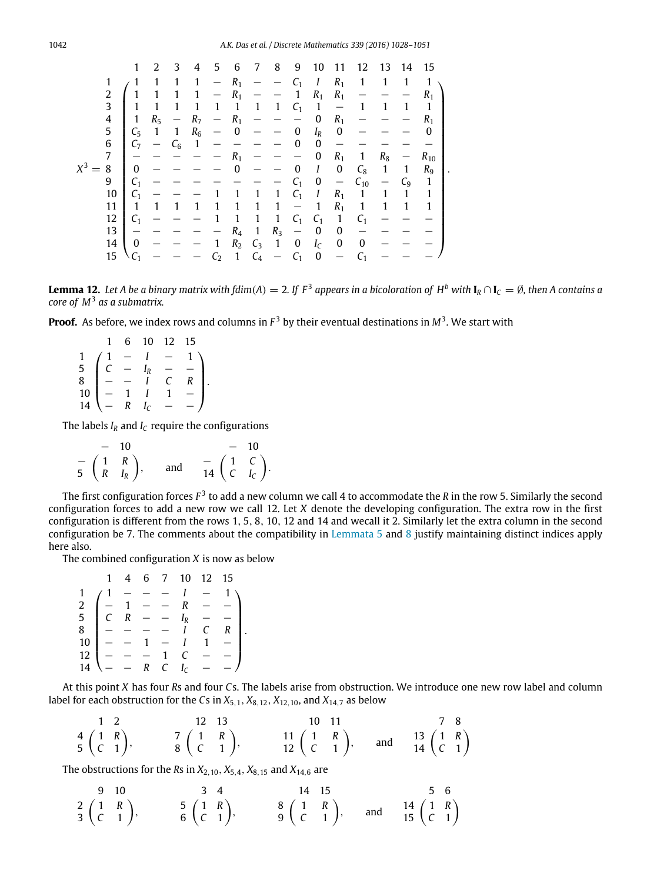|                         | 1               | 2     | 3     | 4              | 5     | 6              | 7            | 8                 | 9                        | 10                | 11                       | 12           | 13                | 14    | -15            |
|-------------------------|-----------------|-------|-------|----------------|-------|----------------|--------------|-------------------|--------------------------|-------------------|--------------------------|--------------|-------------------|-------|----------------|
| 1                       |                 | 1     | 1     | 1              |       | $R_1$          |              |                   | C <sub>1</sub>           | Ι                 | $R_1$                    | $\mathbf{1}$ | $\mathbf{1}$      | 1     | $\mathbf{1}$   |
| $\overline{\mathbf{c}}$ |                 |       |       |                |       | $R_1$          |              |                   | 1                        | $R_1$             | $R_1$                    |              |                   |       | $R_1$          |
| 3                       |                 | 1     |       |                | 1     | 1              | $\mathbf{1}$ | 1                 | C <sub>1</sub>           | $\mathbf{1}$      | $\overline{\phantom{m}}$ | 1            |                   | 1     | 1              |
| 4                       | 1               | $R_5$ |       | R <sub>7</sub> |       | $R_1$          |              |                   |                          | $\mathbf{0}$      | $R_1$                    |              |                   |       | $R_{1}$        |
| 5                       | $C_5$           | 1     | 1     | $R_6$          |       | 0              |              |                   | $\boldsymbol{0}$         | $I_R$             | 0                        |              |                   |       | 0              |
| 6                       | C <sub>7</sub>  |       | $C_6$ | $\mathbf{1}$   |       |                |              |                   | 0                        | 0                 |                          |              |                   |       |                |
| $\overline{7}$          |                 |       |       |                |       | $R_{1}$        |              |                   |                          | 0                 | $R_1$                    | 1            | $R_8$             |       | $R_{10}$       |
| $X^3$<br>8              | $\mathbf{0}$    |       |       |                |       | 0              |              |                   | 0                        | Ι                 | 0                        | $C_8$        | $\mathbf{1}$      | 1     | R <sub>9</sub> |
| 9                       | C <sub>1</sub>  |       |       |                |       |                |              |                   | C <sub>1</sub>           | 0                 | $\overline{\phantom{m}}$ | $C_{10}$     | $\qquad \qquad -$ | $C_9$ | 1              |
| 10                      | C <sub>1</sub>  |       |       |                |       |                | 1            | 1                 | $C_1$                    | Ι                 | $R_1$                    | $\mathbf{1}$ | 1                 | 1     | 1              |
| 11                      | 1               | 1     |       |                |       |                | 1            | 1                 | $\overline{\phantom{m}}$ | $\mathbf{1}$      | $R_1$                    | $\mathbf{1}$ | 1                 | 1     | 1              |
| 12                      | C <sub>1</sub>  |       |       |                |       | 1              | 1            | $\mathbf{1}$      | $C_1$                    | $C_1$             | $\mathbf{1}$             | $C_1$        |                   |       |                |
| 13                      |                 |       |       |                |       | R4             | 1            | $R_3$             | $\overline{\phantom{m}}$ | 0                 | 0                        |              |                   |       |                |
| 14                      | $\mathbf{0}$    |       |       |                | 1     | R <sub>2</sub> | $C_3$        | $\mathbf{1}$      | 0                        | $I_{\mathcal{C}}$ | 0                        | $\bf{0}$     |                   |       |                |
| 15                      | $\setminus C_1$ |       |       |                | $C_2$ | 1              | $C_4$        | $\qquad \qquad -$ | $C_1$                    | 0                 | $\qquad \qquad -$        |              |                   |       |                |

<span id="page-14-0"></span>**Lemma 12.** Let A be a binary matrix with fdim(A)  $=$  2. If  $F^3$  appears in a bicoloration of  $H^b$  with  $I_R \cap I_C = \emptyset$ , then A contains a *core of M*<sup>3</sup> *as a submatrix.*

**Proof.** As before, we index rows and columns in *F* <sup>3</sup> by their eventual destinations in *M*<sup>3</sup> . We start with

 $\sqrt{ }$  $\mid$ 1 6 10 12 15  $1 / 1 - I - 1$ 5  $C - I_R - -$ 8 − − *I C R* 10 **|** − 1 *I* 1 −  $14$   $-$  *R*  $I_c$  − −  $\lambda$  $\Big\}$ .

The labels  $I_R$  and  $I_C$  require the configurations

$$
\begin{array}{cccc}\n- & 10 & & & - & 10 \\
-\frac{1}{5} & \frac{1}{R} & \frac{1}{R} & \frac{1}{R} & \frac{1}{R} & \frac{1}{R} & \frac{1}{R} & \frac{1}{R} \\
\end{array}
$$
 and 
$$
\begin{array}{cccc}\n- & 10 & & - & 10 \\
-\frac{1}{2} & \frac{1}{2} & \frac{1}{2} & \frac{1}{2} & \frac{1}{2} & \frac{1}{2} \\
\frac{1}{2} & \frac{1}{2} & \frac{1}{2} & \frac{1}{2} & \frac{1}{2} & \frac{1}{2} & \frac{1}{2} \\
\frac{1}{2} & \frac{1}{2} & \frac{1}{2} & \frac{1}{2} & \frac{1}{2} & \frac{1}{2} & \frac{1}{2} & \frac{1}{2} & \frac{1}{2} \\
\frac{1}{2} & \frac{1}{2} & \frac{1}{2} & \frac{1}{2} & \frac{1}{2} & \frac{1}{2} & \frac{1}{2} & \frac{1}{2} & \frac{1}{2} & \frac{1}{2} & \frac{1}{2} & \frac{1}{2} & \frac{1}{2} & \frac{1}{2} \\
\frac{1}{2} & \frac{1}{2} & \frac{1}{2} & \frac{1}{2} & \frac{1}{2} & \frac{1}{2} & \frac{1}{2} & \frac{1}{2} & \frac{1}{2} & \frac{1}{2} & \frac{1}{2} & \frac{1}{2} & \frac{1}{2} & \frac{1}{2} & \frac{1}{2} & \frac{1}{2} & \frac{1}{2} & \frac{1}{2} & \frac{1}{2} & \frac{1}{2} & \frac{1}{2} & \frac{1}{2} & \frac{1}{2} & \frac{1}{2} & \frac{1}{2} & \frac{1}{2} & \frac{1}{2} & \frac{1}{2} & \frac{1}{2} & \frac{1}{2} & \frac{1}{2} & \frac{1}{2} & \frac{1}{2} & \frac{1}{2} & \frac{1}{2} & \frac{1}{2} & \frac{1}{2} & \frac{1}{2} & \frac{1}{2} & \frac{1}{2} & \frac{1}{2} & \frac{1}{2} & \frac{1}{2} & \frac{1}{2} &
$$

The first configuration forces  $F^3$  to add a new column we call 4 to accommodate the  $R$  in the row 5. Similarly the second configuration forces to add a new row we call 12. Let *X* denote the developing configuration. The extra row in the first configuration is different from the rows 1, 5, 8, 10, 12 and 14 and wecall it 2. Similarly let the extra column in the second configuration be 7. The comments about the compatibility in [Lemmata 5](#page-6-0) and [8](#page-8-0) justify maintaining distinct indices apply here also.

The combined configuration *X* is now as below

|    |                                                                                       |       |  | 1 4 6 7 10 12 15 |       |
|----|---------------------------------------------------------------------------------------|-------|--|------------------|-------|
|    |                                                                                       | $1 -$ |  | $- - I - 1$      |       |
|    | $2 \left[ -1 - - R - - \right]$                                                       |       |  |                  |       |
|    | 5   C R - - $I_R$ - -                                                                 |       |  |                  |       |
|    | $8$ $-$ - - 1                                                                         |       |  |                  | $C$ R |
|    | $10$   - - 1 - 1 1 -                                                                  |       |  |                  |       |
|    | $12$ $\begin{array}{ l } - - - - 1 & C & - - \\ 14 & - - R & C & I_C & - \end{array}$ |       |  |                  |       |
| 14 |                                                                                       |       |  |                  |       |

At this point *X* has four *R*s and four *C*s. The labels arise from obstruction. We introduce one new row label and column label for each obstruction for the *Cs* in  $X_{5,1}$ ,  $X_{8,12}$ ,  $X_{12,10}$ , and  $X_{14,7}$  as below

| $1\quad 2$                                 | 12 13                                              | 10 11                                                |  | 7 8                                                                                         |  |
|--------------------------------------------|----------------------------------------------------|------------------------------------------------------|--|---------------------------------------------------------------------------------------------|--|
| $rac{4}{5}$ $\binom{1}{C}$ $\frac{R}{1}$ , | $\begin{pmatrix} 7 & 1 & R \\ C & 1 \end{pmatrix}$ | $\begin{pmatrix} 11 & R \\ 12 & C & 1 \end{pmatrix}$ |  | and $\begin{pmatrix} 13 \\ 14 \end{pmatrix}$ $\begin{pmatrix} 1 & R \\ C & 1 \end{pmatrix}$ |  |

The obstructions for the *Rs* in  $X_{2,10}$ ,  $X_{5,4}$ ,  $X_{8,15}$  and  $X_{14,6}$  are

9 10  
\n
$$
\begin{array}{cccccc}\n & 3 & 4 \\
2 & 1 & R \\
3 & C & 1\n\end{array}
$$
,  $\begin{array}{cccccc}\n & 3 & 4 \\
 & 5 & 14 \\
 & 6 & C & 1\n\end{array}$ ,  $\begin{array}{cccccc}\n & 14 & 15 \\
 & 8 & 1 & R \\
 & 9 & C & 1\n\end{array}$ , and  $\begin{array}{cccccc}\n & 14 & 14 & 15 \\
 & 14 & 14 & 15 & 14 \\
 & 15 & 15 & 14 & 14 \\
 & 15 & 15 & 14 & 14 \\
 & 15 & 15 & 14 & 14\n\end{array}$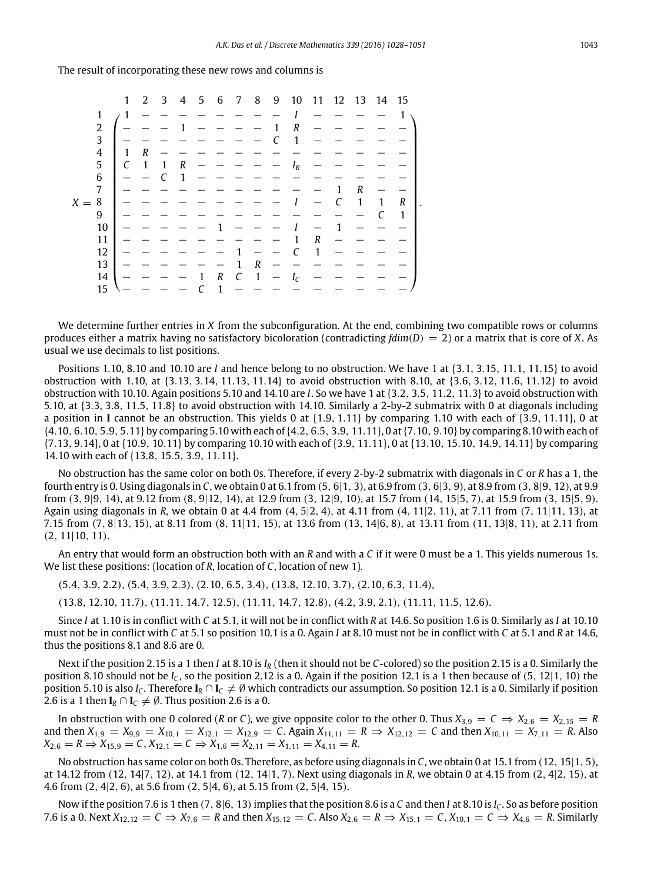The result of incorporating these new rows and columns is

|         |                         | 1            | 2                | 3 | 4 | 5 | 6 | 7 | 8            | 9 | 10                | 11               | 12 13 |   | 14 | 15 |
|---------|-------------------------|--------------|------------------|---|---|---|---|---|--------------|---|-------------------|------------------|-------|---|----|----|
|         | 1                       | $\mathbf{1}$ |                  |   |   |   |   |   |              |   |                   |                  |       |   |    |    |
|         | 2                       |              |                  |   |   |   |   |   |              |   | R                 |                  |       |   |    |    |
|         | 3                       |              |                  |   |   |   |   |   |              |   | $\mathbf{1}$      |                  |       |   |    |    |
|         | $\overline{\mathbf{4}}$ | 1            | $\boldsymbol{R}$ |   |   |   |   |   |              |   |                   |                  |       |   |    |    |
|         | 5                       | C            | 1                |   | R |   |   |   |              |   | $I_R$             |                  |       |   |    |    |
|         | $\,6$                   |              |                  |   | 1 |   |   |   |              |   |                   |                  |       |   |    |    |
|         | 7                       |              |                  |   |   |   |   |   |              |   |                   |                  | 1     | R |    |    |
| $X = 8$ |                         |              |                  |   |   |   |   |   |              |   |                   |                  | C     | 1 | 1  | R  |
|         | 9                       |              |                  |   |   |   |   |   |              |   |                   |                  |       |   |    | 1  |
|         | 10                      |              |                  |   |   |   |   |   |              |   |                   |                  | 1     |   |    |    |
|         | 11                      |              |                  |   |   |   |   |   |              |   |                   | $\boldsymbol{R}$ |       |   |    |    |
|         | 12                      |              |                  |   |   |   |   |   |              |   |                   | 1                |       |   |    |    |
|         | 13                      |              |                  |   |   |   |   |   | R            |   |                   |                  |       |   |    |    |
|         | 14                      |              |                  |   |   |   | R | C | $\mathbf{1}$ |   | $I_{\mathcal{C}}$ |                  |       |   |    |    |
|         | 15                      |              |                  |   |   |   |   |   |              |   |                   |                  |       |   |    |    |

We determine further entries in *X* from the subconfiguration. At the end, combining two compatible rows or columns produces either a matrix having no satisfactory bicoloration (contradicting *fdim*(*D*) = 2) or a matrix that is core of *X*. As usual we use decimals to list positions.

Positions 1.10, 8.10 and 10.10 are *I* and hence belong to no obstruction. We have 1 at {3.1, 3.15, 11.1, 11.15} to avoid obstruction with 1.10, at {3.13, 3.14, 11.13, 11.14} to avoid obstruction with 8.10, at {3.6, 3.12, 11.6, 11.12} to avoid obstruction with 10.10. Again positions 5.10 and 14.10 are *I*. So we have 1 at {3.2, 3.5, 11.2, 11.3} to avoid obstruction with 5.10, at {3.3, 3.8, 11.5, 11.8} to avoid obstruction with 14.10. Similarly a 2-by-2 submatrix with 0 at diagonals including a position in **I** cannot be an obstruction. This yields 0 at {1.9, 1.11} by comparing 1.10 with each of {3.9, 11.11}, 0 at {4.10, 6.10, 5.9, 5.11} by comparing 5.10 with each of{4.2, 6.5, 3.9, 11.11}, 0 at{7.10, 9.10} by comparing 8.10 with each of {7.13, 9.14}, 0 at {10.9, 10.11} by comparing 10.10 with each of {3.9, 11.11}, 0 at {13.10, 15.10, 14.9, 14.11} by comparing 14.10 with each of {13.8, 15.5, 3.9, 11.11}.

No obstruction has the same color on both 0s. Therefore, if every 2-by-2 submatrix with diagonals in *C* or *R* has a 1, the fourth entry is 0. Using diagonals in *C*, we obtain 0 at 6.1 from (5, 6|1, 3), at 6.9 from (3, 6|3, 9), at 8.9 from (3, 8|9, 12), at 9.9 from (3, 9|9, 14), at 9.12 from (8, 9|12, 14), at 12.9 from (3, 12|9, 10), at 15.7 from (14, 15|5, 7), at 15.9 from (3, 15|5, 9). Again using diagonals in *R*, we obtain 0 at 4.4 from (4, 5|2, 4), at 4.11 from (4, 11|2, 11), at 7.11 from (7, 11|11, 13), at 7.15 from (7, 8|13, 15), at 8.11 from (8, 11|11, 15), at 13.6 from (13, 14|6, 8), at 13.11 from (11, 13|8, 11), at 2.11 from (2, 11|10, 11).

An entry that would form an obstruction both with an *R* and with a *C* if it were 0 must be a 1. This yields numerous 1s. We list these positions: (location of *R*, location of *C*, location of new 1).

(5.4, 3.9, 2.2), (5.4, 3.9, 2.3), (2.10, 6.5, 3.4), (13.8, 12.10, 3.7), (2.10, 6.3, 11.4),

(13.8, 12.10, 11.7), (11.11, 14.7, 12.5), (11.11, 14.7, 12.8), (4.2, 3.9, 2.1), (11.11, 11.5, 12.6).

Since *I* at 1.10 is in conflict with *C* at 5.1, it will not be in conflict with *R* at 14.6. So position 1.6 is 0. Similarly as *I* at 10.10 must not be in conflict with *C* at 5.1 so position 10.1 is a 0. Again *I* at 8.10 must not be in conflict with *C* at 5.1 and *R* at 14.6, thus the positions 8.1 and 8.6 are 0.

Next if the position 2.15 is a 1 then *I* at 8.10 is *I<sup>R</sup>* (then it should not be *C*-colored) so the position 2.15 is a 0. Similarly the position 8.10 should not be *I<sup>C</sup>* , so the position 2.12 is a 0. Again if the position 12.1 is a 1 then because of (5, 12|1, 10) the position 5.10 is also *I*<sub>C</sub>. Therefore  $I_R \cap I_C \neq \emptyset$  which contradicts our assumption. So position 12.1 is a 0. Similarly if position 2.6 is a 1 then  $I_R \cap I_C \neq \emptyset$ . Thus position 2.6 is a 0.

In obstruction with one 0 colored (*R* or *C*), we give opposite color to the other 0. Thus  $X_{3,9} = C \Rightarrow X_{2,6} = X_{2,15} = R$ and then  $X_{1,9} = X_{9,9} = X_{10,1} = X_{12,1} = X_{12,9} = C$ . Again  $X_{11,11} = R \Rightarrow X_{12,12} = C$  and then  $X_{10,11} = X_{7,11} = R$ . Also  $X_{2,6} = R \Rightarrow X_{15,9} = C, X_{12,1} = C \Rightarrow X_{1,6} = X_{2,11} = X_{1,11} = X_{4,11} = R.$ 

No obstruction has same color on both 0s. Therefore, as before using diagonals in *C*, we obtain 0 at 15.1 from (12, 15|1, 5), at 14.12 from (12, 14|7, 12), at 14.1 from (12, 14|1, 7). Next using diagonals in *R*, we obtain 0 at 4.15 from (2, 4|2, 15), at 4.6 from (2, 4|2, 6), at 5.6 from (2, 5|4, 6), at 5.15 from (2, 5|4, 15).

Now if the position 7.6 is 1 then (7, 8|6, 13)implies that the position 8.6 is a *C* and then *I* at 8.10 is *I<sup>C</sup>* . So as before position 7.6 is a 0. Next *X*<sub>12,12</sub> = *C* ⇒ *X*<sub>7,6</sub> = *R* and then *X*<sub>15,12</sub> = *C*. Also *X*<sub>2,6</sub> = *R* ⇒ *X*<sub>15,1</sub> = *C*, *X*<sub>10,1</sub> = *C* ⇒ *X*<sub>4,6</sub> = *R*. Similarly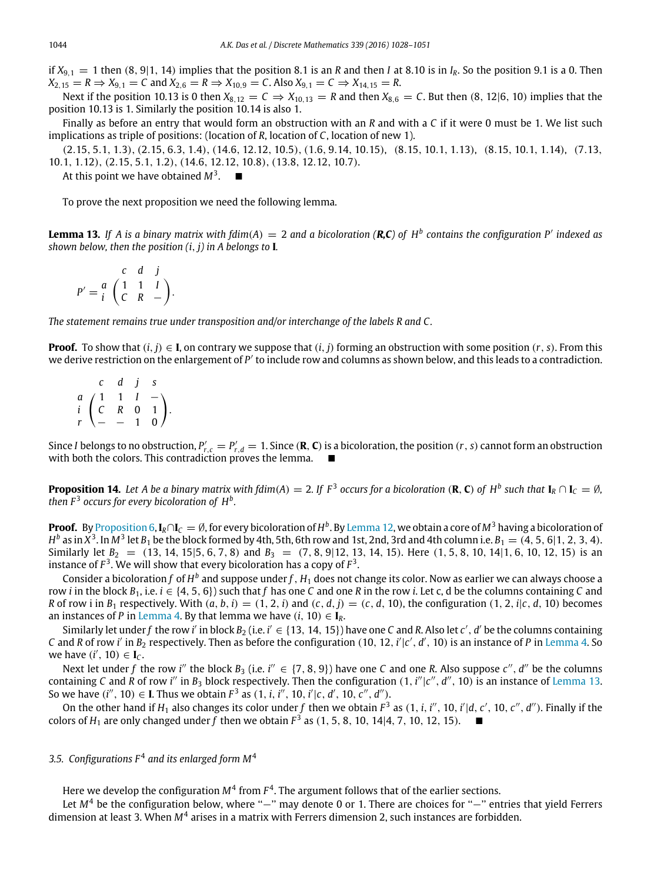if  $X_{9,1} = 1$  then  $(8, 9|1, 14)$  implies that the position 8.1 is an *R* and then *I* at 8.10 is in  $I_R$ . So the position 9.1 is a 0. Then  $X_{2,15} = R \Rightarrow X_{9,1} = C$  and  $X_{2,6} = R \Rightarrow X_{10,9} = C$ . Also  $X_{9,1} = C \Rightarrow X_{14,15} = R$ .

Next if the position 10.13 is 0 then  $X_{8,12} = C \Rightarrow X_{10,13} = R$  and then  $X_{8,6} = C$ . But then (8, 12|6, 10) implies that the position 10.13 is 1. Similarly the position 10.14 is also 1.

Finally as before an entry that would form an obstruction with an *R* and with a *C* if it were 0 must be 1. We list such implications as triple of positions: (location of *R*, location of *C*, location of new 1).

(2.15, 5.1, 1.3), (2.15, 6.3, 1.4), (14.6, 12.12, 10.5), (1.6, 9.14, 10.15), (8.15, 10.1, 1.13), (8.15, 10.1, 1.14), (7.13, 10.1, 1.12), (2.15, 5.1, 1.2), (14.6, 12.12, 10.8), (13.8, 12.12, 10.7).

At this point we have obtained  $M^3$ .  $\blacksquare$ 

<span id="page-16-0"></span>To prove the next proposition we need the following lemma.

**Lemma 13.** *If A is a binary matrix with fdim*(*A*) = 2 *and a bicoloration (R,C) of H<sup>b</sup> contains the configuration P*′ *indexed as shown below, then the position (i*, *j) in A belongs to* **I***.*

 $P' = \frac{a}{i} \begin{pmatrix} 1 & 1 & 1 \\ 0 & B & 1 \end{pmatrix}$ *c d j i C R* − .

*The statement remains true under transposition and/or interchange of the labels R and C.*

**Proof.** To show that  $(i, j) \in I$ , on contrary we suppose that  $(i, j)$  forming an obstruction with some position  $(r, s)$ . From this we derive restriction on the enlargement of P' to include row and columns as shown below, and this leads to a contradiction.

*a*  $\begin{pmatrix} 1 & 1 & I \end{pmatrix}$  – *c d j s i C R* 0 1  $\begin{pmatrix} 1 & 1 & 1 & - \\ C & R & 0 & 1 \\ T & - & - & 1 & 0 \end{pmatrix}$ .

Since *I* belongs to no obstruction,  $P'_{r,c} = P'_{r,d} = 1$ . Since (**R**, **C**) is a bicoloration, the position (*r*, *s*) cannot form an obstruction with both the colors. This contradiction proves the lemma.

**Proposition 14.** Let A be a binary matrix with fdim(A)  $=$  2. If  $F^3$  occurs for a bicoloration (**R, C**) of  $H^b$  such that  $I_R \cap I_C = \emptyset$ , *then*  $F^3$  occurs for every bicoloration of  $H^b$ .

**Proof.** By [Proposition 6,](#page-7-0)  $I_R \cap I_C=\emptyset$ , for every bicoloration of  $H^b$ . By [Lemma 12,](#page-14-0) we obtain a core of  $M^3$  having a bicoloration of  $H^b$  as in  $X^3$ . In  $M^3$  let  $B_1$  be the block formed by 4th, 5th, 6th row and 1st, 2nd, 3rd and 4th column i.e.  $B_1=(4,5,6|1,2,3,4)$ . Similarly let  $B_2 = (13, 14, 15]5, 6, 7, 8$  and  $B_3 = (7, 8, 9]12, 13, 14, 15$ . Here  $(1, 5, 8, 10, 14]1, 6, 10, 12, 15$  is an instance of  $F^3$ . We will show that every bicoloration has a copy of  $F^3$ .

Consider a bicoloration $f$  of  $H^b$  and suppose under $f$  ,  $H_1$  does not change its color. Now as earlier we can always choose a row *i* in the block  $B_1$ , i.e.  $i \in \{4, 5, 6\}$  such that f has one C and one R in the row *i*. Let c, d be the columns containing C and R of row i in  $B_1$  respectively. With  $(a, b, i) = (1, 2, i)$  and  $(c, d, j) = (c, d, 10)$ , the configuration  $(1, 2, i|c, d, 10)$  becomes an instances of *P* in [Lemma 4.](#page-4-1) By that lemma we have  $(i, 10) \in I_R$ .

Similarly let under f the row i' in block  $B_2$  (i.e. i'  $\in$  {13, 14, 15}) have one C and R. Also let  $c'$ , d' be the columns containing *C* and *R* of row *i*' in  $B_2$  respectively. Then as before the configuration (10, 12, *i'*|*c'*, *d'*, 10) is an instance of *P* in [Lemma 4.](#page-4-1) So we have  $(i', 10) \in I_C$ .

Next let under f the row *i*'' the block  $B_3$  (i.e. *i*''  $\in$  {7, 8, 9}) have one *C* and one *R*. Also suppose *c*'', *d*'' be the columns containing *C* and *R* of row *i*<sup>"</sup> in *B*<sub>3</sub> block respectively. Then the configuration  $(1, i'' | c'', d'', 10)$  is an instance of [Lemma 13.](#page-16-0) So we have  $(i'', 10) \in$  **I**. Thus we obtain  $F^3$  as  $(1, i, i'', 10, i'|c, d', 10, c'', d'')$ .

On the other hand if  $H_1$  also changes its color under f then we obtain  $F^3$  as  $(1, i, i'', 10, i'|d, c', 10, c'', d'')$ . Finally if the colors of  $H_1$  are only changed under f then we obtain  $F^3$  as  $(1, 5, 8, 10, 14|4, 7, 10, 12, 15)$ .

# 3.5. Configurations  $F^4$  and its enlarged form  $M^4$

Here we develop the configuration  $M^4$  from  $F^4$ . The argument follows that of the earlier sections.

Let *M*<sup>4</sup> be the configuration below, where "−" may denote 0 or 1. There are choices for "−" entries that yield Ferrers dimension at least 3. When  $M^4$  arises in a matrix with Ferrers dimension 2, such instances are forbidden.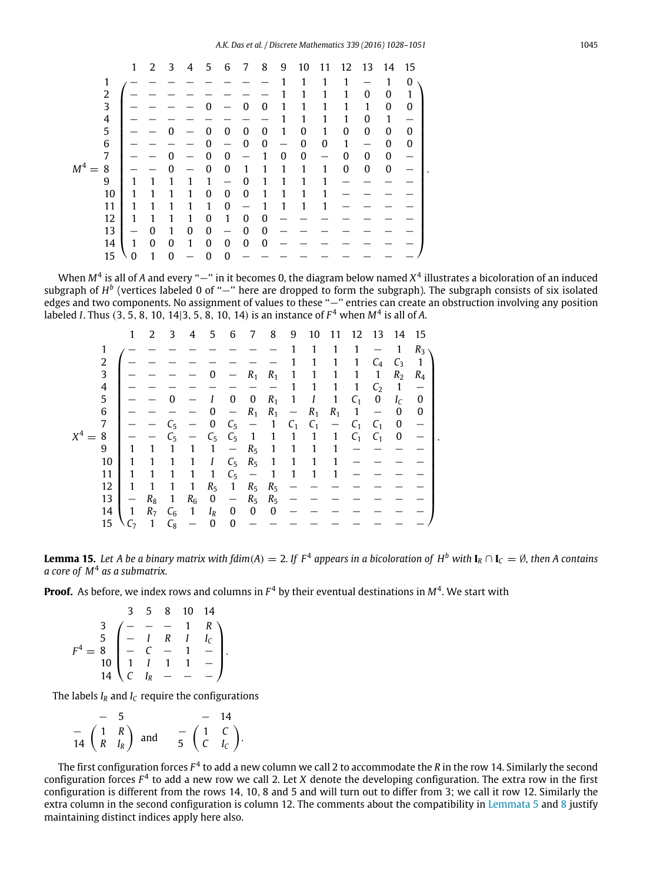|                         | 1 | 2                | 3        | 4 | 5            | 6                | 7                | 8        | 9                | 10       | 11 | 12           | 13               | 14               | 15               |
|-------------------------|---|------------------|----------|---|--------------|------------------|------------------|----------|------------------|----------|----|--------------|------------------|------------------|------------------|
| 1                       |   |                  |          |   |              |                  |                  |          |                  | 1        | 1  | 1            |                  | 1                | $\boldsymbol{0}$ |
| 2                       |   |                  |          |   |              |                  |                  |          |                  |          |    | 1            | 0                | 0                | 1                |
| $\overline{\mathbf{3}}$ |   |                  |          |   | ŋ            |                  | $\boldsymbol{0}$ | 0        | 1                |          | 1  | 1            | 1                | 0                | $\theta$         |
| $\frac{4}{5}$           |   |                  |          |   |              |                  |                  |          |                  |          | 1  | 1            | 0                | 1                |                  |
|                         |   |                  | O        |   | $\mathbf{0}$ | $\boldsymbol{0}$ | 0                | 0        | 1                | 0        | 1  | $\mathbf{0}$ | 0                | $\boldsymbol{0}$ | $\mathbf{0}$     |
| 6                       |   |                  |          |   | 0            |                  | $\mathbf 0$      | $\bf{0}$ |                  | 0        | 0  | 1            |                  | $\mathbf{0}$     | $\Omega$         |
| 7                       |   |                  | $\Omega$ |   | 0            | $\mathbf{0}$     |                  | 1        | $\boldsymbol{0}$ | $\bf{0}$ |    | $\mathbf{0}$ | $\boldsymbol{0}$ | $\boldsymbol{0}$ |                  |
| M <sup>4</sup><br>8     |   |                  | $\Omega$ |   | $\mathbf{0}$ | $\mathbf{0}$     | 1                | 1        | 1                | 1        | 1  | $\mathbf 0$  | $\boldsymbol{0}$ | $\bf{0}$         |                  |
| 9                       |   |                  |          | 1 | 1            |                  | $\mathbf{0}$     |          |                  | 1        | 1  |              |                  |                  |                  |
| 10                      |   |                  |          | 1 | 0            | $\bf{0}$         | 0                | 1        |                  | 1        | 1  |              |                  |                  |                  |
| 11                      |   |                  |          | 1 | 1            | $\mathbf{0}$     |                  |          |                  |          | 1  |              |                  |                  |                  |
| 12                      | 1 |                  |          | 1 | 0            | 1                | 0                | 0        |                  |          |    |              |                  |                  |                  |
| 13                      |   | 0                | 1        | 0 | $\mathbf{0}$ |                  | 0                | 0        |                  |          |    |              |                  |                  |                  |
| 14                      | 1 | $\boldsymbol{0}$ | 0        | 1 | $\mathbf 0$  | $\mathbf{0}$     | $\mathbf{0}$     | $\bf{0}$ |                  |          |    |              |                  |                  |                  |
| 15                      | 0 |                  | 0        |   | $\mathbf{0}$ | $\boldsymbol{0}$ |                  |          |                  |          |    |              |                  |                  |                  |

When M<sup>4</sup> is all of A and every "−" in it becomes 0, the diagram below named X<sup>4</sup> illustrates a bicoloration of an induced subgraph of *H*<sup>b</sup> (vertices labeled 0 of "−" here are dropped to form the subgraph). The subgraph consists of six isolated edges and two components. No assignment of values to these ''−'' entries can create an obstruction involving any position labeled *I*. Thus (3, 5, 8, 10, 14|3, 5, 8, 10, 14) is an instance of *F* <sup>4</sup> when *M*<sup>4</sup> is all of *A*.

|            | 1                 | $\mathcal{L}$  | 3           | 4            | 5                | 6                        | 7                        | 8            | 9                        | 10           | 11                       | 12             | - 13                     | 14               | - 15         |
|------------|-------------------|----------------|-------------|--------------|------------------|--------------------------|--------------------------|--------------|--------------------------|--------------|--------------------------|----------------|--------------------------|------------------|--------------|
| 1          |                   |                |             |              |                  |                          |                          |              | 1                        | 1            | 1                        | 1              |                          | 1                | $R_3$        |
| 2          |                   |                |             |              |                  |                          |                          |              |                          | 1            | 1                        | 1              | $C_4$                    | $C_3$            | $\mathbf{1}$ |
| 3          |                   |                |             |              |                  |                          | $R_1$                    | $R_1$        | 1                        | 1            | 1                        | 1              | 1                        | R <sub>2</sub>   | $R_4$        |
| 4          |                   |                |             |              |                  |                          |                          |              |                          |              | 1                        | $\mathbf{1}$   | C <sub>2</sub>           | $\overline{1}$   |              |
| 5          |                   |                |             |              |                  | $\boldsymbol{0}$         | 0                        | $R_1$        | $\mathbf{1}$             | Ι            | $\mathbf{1}$             | $C_1$          | $\bf{0}$                 | $I_{\rm C}$      | 0            |
| 6          |                   |                |             |              | 0                | $\overline{\phantom{m}}$ | $R_1$                    | $R_1$        | $\overline{\phantom{m}}$ | $R_1$        | $R_1$                    | $\mathbf{1}$   | $\overline{\phantom{m}}$ | 0                | 0            |
| 7          |                   |                | $C_5$       |              | 0                | $C_5$                    | $\overline{\phantom{m}}$ | 1            | C <sub>1</sub>           | $C_1$        | $\overline{\phantom{m}}$ | C <sub>1</sub> | C <sub>1</sub>           | $\boldsymbol{0}$ |              |
| $X^4$<br>8 |                   |                | $C_{5}$     |              | $C_5$            | $C_5$                    | $\mathbf{1}$             | $\mathbf{1}$ | 1                        | $\mathbf{1}$ | $\mathbf{1}$             | C <sub>1</sub> | C <sub>1</sub>           | 0                |              |
| 9          | 1                 | 1              | 1           | 1            | 1                | $\overline{\phantom{m}}$ | $R_5$                    | 1            | 1                        |              | 1                        |                |                          |                  |              |
| 10         |                   | 1              |             | 1            | Ι                | $C_5$ $R_5$              |                          | $\mathbf{1}$ | 1                        | 1            | 1                        |                |                          |                  |              |
| 11         | 1                 | 1              | 1           | 1            | $\mathbf{1}$     | $C_5$                    | $\overline{\phantom{m}}$ | $\mathbf{1}$ | 1                        | 1            | 1                        |                |                          |                  |              |
| 12         | $\mathbf{1}$      | 1              | 1           | $\mathbf{1}$ | $R_5$            | $\overline{1}$           | $R_5$                    | $R_5$        |                          |              |                          |                |                          |                  |              |
| 13         | $\qquad \qquad -$ | $R_8$          | 1           | $R_6$        | $\boldsymbol{0}$ | $\qquad \qquad -$        | R <sub>5</sub>           | $R_5$        |                          |              |                          |                |                          |                  |              |
| 14         | 1                 | R <sub>7</sub> | $C_{\rm 6}$ | 1            | $I_R$            | 0                        | 0                        | 0            |                          |              |                          |                |                          |                  |              |
| 15         | $\vee$ $C_7$      | -1             | $C_8$       |              | 0                | $\bf{0}$                 |                          |              |                          |              |                          |                |                          |                  |              |

<span id="page-17-0"></span>**Lemma 15.** Let A be a binary matrix with fdim(A)  $=$  2. If F<sup>4</sup> appears in a bicoloration of H<sup>b</sup> with  $I_R \cap I_C = \emptyset$ , then A contains *a core of M*<sup>4</sup> *as a submatrix.*

.

**Proof.** As before, we index rows and columns in *F* <sup>4</sup> by their eventual destinations in *M*<sup>4</sup> . We start with

|                                                                                                                                                                     |  | 5 8 10 14 |               |
|---------------------------------------------------------------------------------------------------------------------------------------------------------------------|--|-----------|---------------|
| $\begin{array}{c cccc} 3 & - & - & - & 1 & R \\ 5 & - & I & R & I & I_c \\ 8 & - & C & - & 1 & - \\ 10 & 1 & I & 1 & 1 & - \\ 14 & C & I_R & - & - & - \end{array}$ |  |           | $R \setminus$ |
|                                                                                                                                                                     |  |           |               |
|                                                                                                                                                                     |  |           |               |
|                                                                                                                                                                     |  |           |               |
|                                                                                                                                                                     |  |           |               |

The labels  $I_R$  and  $I_C$  require the configurations

| $-5$ |                                                                                                         |  | $-14$ |
|------|---------------------------------------------------------------------------------------------------------|--|-------|
|      | $\begin{pmatrix} 1 & R \\ R & I_R \end{pmatrix}$ and $\begin{pmatrix} 1 & C \\ C & I_C \end{pmatrix}$ . |  |       |

The first configuration forces  $F^4$  to add a new column we call 2 to accommodate the *R* in the row 14. Similarly the second configuration forces *F* 4 to add a new row we call 2. Let *X* denote the developing configuration. The extra row in the first configuration is different from the rows 14, 10, 8 and 5 and will turn out to differ from 3; we call it row 12. Similarly the extra column in the second configuration is column 12. The comments about the compatibility in [Lemmata 5](#page-6-0) and [8](#page-8-0) justify maintaining distinct indices apply here also.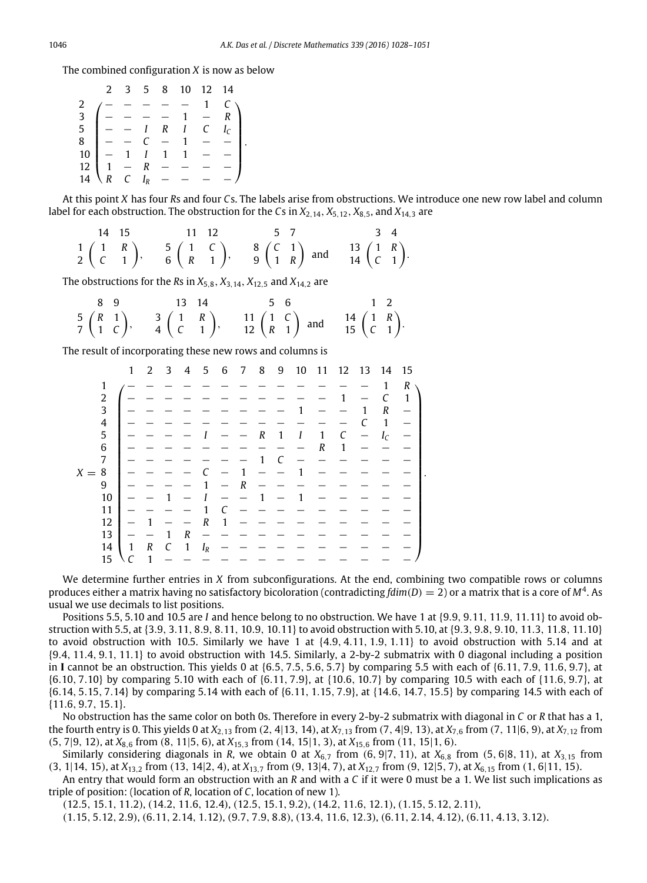The combined configuration *X* is now as below

|                                                                                                                                                                         |  | 2 3 5 8 10 12 14 |            |                   |
|-------------------------------------------------------------------------------------------------------------------------------------------------------------------------|--|------------------|------------|-------------------|
|                                                                                                                                                                         |  |                  |            |                   |
|                                                                                                                                                                         |  |                  |            |                   |
|                                                                                                                                                                         |  |                  |            | $I_{\mathcal{C}}$ |
|                                                                                                                                                                         |  |                  |            |                   |
|                                                                                                                                                                         |  |                  |            |                   |
|                                                                                                                                                                         |  |                  |            |                   |
| $\begin{array}{c ccccccccc}\n3 & - & - & - & - & 1 & - & 1 \\ 5 & - & I & R & I & C & I \\ 8 & - & - & C & - & 1 & - & - \\ 10 & - & 1 & I & 1 & 1 & - & \n\end{array}$ |  |                  | $\sim$ $-$ |                   |

At this point *X* has four *R*s and four *C*s. The labels arise from obstructions. We introduce one new row label and column label for each obstruction. The obstruction for the *Cs* in  $X_{2,14}$ ,  $X_{5,12}$ ,  $X_{8,5}$ , and  $X_{14,3}$  are

|  | 14 15 11 12 5 7 3 4                                                                                                                                                                                                           |  |
|--|-------------------------------------------------------------------------------------------------------------------------------------------------------------------------------------------------------------------------------|--|
|  | $\begin{pmatrix} 1 & R \\ 2 & C & 1 \end{pmatrix}$ , $\begin{pmatrix} 5 & 1 & C \\ 6 & R & 1 \end{pmatrix}$ , $\begin{pmatrix} 8 & C & 1 \\ 1 & R & R \end{pmatrix}$ and $\begin{pmatrix} 1 & R \\ 1 & 4 & C \end{pmatrix}$ . |  |

.

The obstructions for the *R*s in *X*5,8, *X*3,14, *X*12,<sup>5</sup> and *X*14,<sup>2</sup> are

|  |  | 8 9 13 14 5 6 | $1\quad 2$                                                                                                                                                                                                                            |  |
|--|--|---------------|---------------------------------------------------------------------------------------------------------------------------------------------------------------------------------------------------------------------------------------|--|
|  |  |               | $\begin{pmatrix} 5 & R & 1 \\ 1 & C & 2 \end{pmatrix}$ , $\begin{pmatrix} 3 & 1 & R \\ 4 & C & 1 \end{pmatrix}$ , $\begin{pmatrix} 1 & 1 & C \\ 1 & 2 & R \end{pmatrix}$ and $\begin{pmatrix} 1 & R & R \\ 1 & 1 & R \end{pmatrix}$ . |  |

The result of incorporating these new rows and columns is

|         |                         | $\mathbf{1}$ | 2 | 3 | 4            | 5                 | 6 | 7 | 8                | 9 | 10 | 11 |   | 12 13 | 14          | 15 |
|---------|-------------------------|--------------|---|---|--------------|-------------------|---|---|------------------|---|----|----|---|-------|-------------|----|
|         | 1                       |              |   |   |              |                   |   |   |                  |   |    |    |   |       | 1           | R  |
|         | $\overline{\mathbf{c}}$ |              |   |   |              |                   |   |   |                  |   |    |    |   |       | C           | 1  |
|         | 3                       |              |   |   |              |                   |   |   |                  |   |    |    |   | 1     | R           |    |
|         | $\overline{4}$          |              |   |   |              |                   |   |   |                  |   |    |    |   |       | 1           |    |
|         | 5                       |              |   |   |              |                   |   |   | $\boldsymbol{R}$ | 1 | Ι  | 1  | C |       | $I_{\rm C}$ |    |
|         | 6                       |              |   |   |              |                   |   |   |                  |   |    | R  | 1 |       |             |    |
|         | 7                       |              |   |   |              |                   |   |   | 1                | C |    |    |   |       |             |    |
| $X = 8$ |                         |              |   |   |              |                   |   | 1 |                  |   |    |    |   |       |             |    |
|         | 9                       |              |   |   |              |                   |   | R |                  |   |    |    |   |       |             |    |
|         | 10                      |              |   |   |              |                   |   |   | 1                |   |    |    |   |       |             |    |
|         | 11                      |              |   |   |              |                   |   |   |                  |   |    |    |   |       |             |    |
|         | 12                      |              |   |   |              | R                 | 1 |   |                  |   |    |    |   |       |             |    |
|         | 13                      |              |   |   | R            |                   |   |   |                  |   |    |    |   |       |             |    |
|         | 14                      | $\mathbf{1}$ | R | C | $\mathbf{1}$ | $I_{\mathcal{R}}$ |   |   |                  |   |    |    |   |       |             |    |
|         | 15                      |              | 1 |   |              |                   |   |   |                  |   |    |    |   |       |             |    |

We determine further entries in *X* from subconfigurations. At the end, combining two compatible rows or columns produces either a matrix having no satisfactory bicoloration (contradicting *fdim*(*D*) = 2) or a matrix that is a core of *M*<sup>4</sup> . As usual we use decimals to list positions.

.

Positions 5.5, 5.10 and 10.5 are *I* and hence belong to no obstruction. We have 1 at {9.9, 9.11, 11.9, 11.11} to avoid obstruction with 5.5, at {3.9, 3.11, 8.9, 8.11, 10.9, 10.11} to avoid obstruction with 5.10, at {9.3, 9.8, 9.10, 11.3, 11.8, 11.10} to avoid obstruction with 10.5. Similarly we have 1 at  $\{4.9, 4.11, 1.9, 1.11\}$  to avoid obstruction with 5.14 and at {9.4, 11.4, 9.1, 11.1} to avoid obstruction with 14.5. Similarly, a 2-by-2 submatrix with 0 diagonal including a position in **I** cannot be an obstruction. This yields 0 at {6.5, 7.5, 5.6, 5.7} by comparing 5.5 with each of {6.11, 7.9, 11.6, 9.7}, at {6.10, 7.10} by comparing 5.10 with each of {6.11, 7.9}, at {10.6, 10.7} by comparing 10.5 with each of {11.6, 9.7}, at {6.14, 5.15, 7.14} by comparing 5.14 with each of {6.11, 1.15, 7.9}, at {14.6, 14.7, 15.5} by comparing 14.5 with each of {11.6, 9.7, 15.1}.

No obstruction has the same color on both 0s. Therefore in every 2-by-2 submatrix with diagonal in *C* or *R* that has a 1, the fourth entry is 0. This yields 0 at *X*<sub>2,13</sub> from (2, 4|13, 14), at *X*<sub>7,13</sub> from (7, 4|9, 13), at *X*<sub>7,6</sub> from (7, 11|6, 9), at *X*<sub>7,12</sub> from (5, 7|9, 12), at *X*8,<sup>6</sup> from (8, 11|5, 6), at *X*15,<sup>3</sup> from (14, 15|1, 3), at *X*15,<sup>6</sup> from (11, 15|1, 6).

Similarly considering diagonals in *R*, we obtain 0 at  $X_{6,7}$  from (6, 9|7, 11), at  $X_{6,8}$  from (5, 6|8, 11), at  $X_{3,15}$  from (3, 1|14, 15), at *X*13,<sup>2</sup> from (13, 14|2, 4), at *X*13,<sup>7</sup> from (9, 13|4, 7), at *X*12,<sup>7</sup> from (9, 12|5, 7), at *X*6,<sup>15</sup> from (1, 6|11, 15).

An entry that would form an obstruction with an *R* and with a *C* if it were 0 must be a 1. We list such implications as triple of position: (location of *R*, location of *C*, location of new 1).

(12.5, 15.1, 11.2), (14.2, 11.6, 12.4), (12.5, 15.1, 9.2), (14.2, 11.6, 12.1), (1.15, 5.12, 2.11), (1.15, 5.12, 2.9), (6.11, 2.14, 1.12), (9.7, 7.9, 8.8), (13.4, 11.6, 12.3), (6.11, 2.14, 4.12), (6.11, 4.13, 3.12).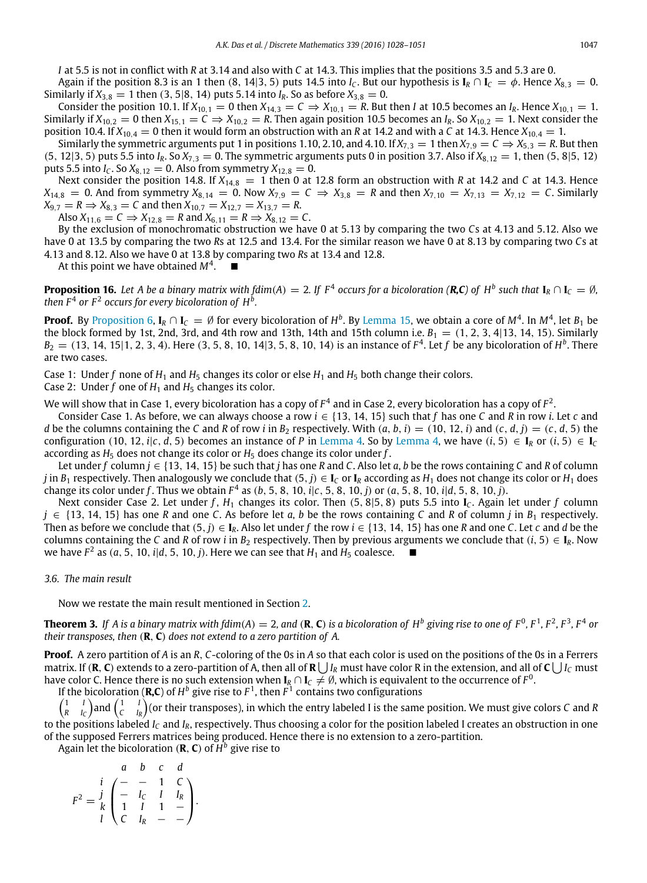*I* at 5.5 is not in conflict with *R* at 3.14 and also with *C* at 14.3. This implies that the positions 3.5 and 5.3 are 0.

Again if the position 8.3 is an 1 then (8, 14|3, 5) puts 14.5 into *I<sub>C</sub>*. But our hypothesis is  $I_R \cap I_C = \phi$ . Hence  $X_{8,3} = 0$ . Similarly if  $X_{3,8} = 1$  then (3, 5|8, 14) puts 5.14 into  $I_R$ . So as before  $X_{3,8} = 0$ .

Consider the position 10.1. If  $X_{10,1} = 0$  then  $X_{14,3} = C \Rightarrow X_{10,1} = R$ . But then *I* at 10.5 becomes an  $I_R$ . Hence  $X_{10,1} = 1$ . Similarly if  $X_{10,2} = 0$  then  $X_{15,1} = C \Rightarrow X_{10,2} = R$ . Then again position 10.5 becomes an  $I_R$ . So  $X_{10,2} = 1$ . Next consider the position 10.4. If  $X_{10,4} = 0$  then it would form an obstruction with an *R* at 14.2 and with a *C* at 14.3. Hence  $X_{10,4} = 1$ .

Similarly the symmetric arguments put 1 in positions 1.10, 2.10, and 4.10. If  $X_{7,3} = 1$  then  $X_{7,9} = C \Rightarrow X_{5,3} = R$ . But then (5, 12|3, 5) puts 5.5 into  $I_R$ . So  $X_{7,3} = 0$ . The symmetric arguments puts 0 in position 3.7. Also if  $X_{8,12} = 1$ , then (5, 8|5, 12) puts 5.5 into *I<sub>C</sub>*. So  $X_{8,12} = 0$ . Also from symmetry  $X_{12,8} = 0$ .

Next consider the position 14.8. If  $X_{14,8} = 1$  then 0 at 12.8 form an obstruction with *R* at 14.2 and *C* at 14.3. Hence  $X_{14,8} = 0$ . And from symmetry  $X_{8,14} = 0$ . Now  $X_{7,9} = C \Rightarrow X_{3,8} = R$  and then  $X_{7,10} = X_{7,13} = X_{7,12} = C$ . Similarly  $X_{9,7} = R \Rightarrow X_{8,3} = C$  and then  $X_{10,7} = X_{12,7} = X_{13,7} = R$ .

Also  $X_{11,6} = C \Rightarrow X_{12,8} = R$  and  $X_{6,11} = R \Rightarrow X_{8,12} = C$ .

By the exclusion of monochromatic obstruction we have 0 at 5.13 by comparing the two *C*s at 4.13 and 5.12. Also we have 0 at 13.5 by comparing the two *R*s at 12.5 and 13.4. For the similar reason we have 0 at 8.13 by comparing two *C*s at 4.13 and 8.12. Also we have 0 at 13.8 by comparing two *R*s at 13.4 and 12.8.

At this point we have obtained *M*<sup>4</sup> .

**Proposition 16.** Let A be a binary matrix with fdim(A) = 2. If  $F^4$  occurs for a bicoloration (**R,C**) of  $H^b$  such that  $I_R \cap I_C = \emptyset$ , then  $F^4$  or  $F^2$  occurs for every bicoloration of  $H^b$ .

**Proof.** By [Proposition 6,](#page-7-0)  $I_R \cap I_C = \emptyset$  for every bicoloration of  $H^b$ . By [Lemma 15,](#page-17-0) we obtain a core of  $M^4$ . In  $M^4$ , let  $B_1$  be the block formed by 1st, 2nd, 3rd, and 4th row and 13th, 14th and 15th column i.e.  $B_1 = (1, 2, 3, 4|13, 14, 15)$ . Similarly  $B_2 = (13, 14, 15|1, 2, 3, 4)$ . Here  $(3, 5, 8, 10, 14|3, 5, 8, 10, 14)$  is an instance of  $F^4$ . Let  $f$  be any bicoloration of  $H^b$ . There are two cases.

Case 1: Under f none of  $H_1$  and  $H_5$  changes its color or else  $H_1$  and  $H_5$  both change their colors.

Case 2: Under  $f$  one of  $H_1$  and  $H_5$  changes its color.

We will show that in Case 1, every bicoloration has a copy of  $F^4$  and in Case 2, every bicoloration has a copy of  $F^2$ .

Consider Case 1. As before, we can always choose a row *i* ∈ {13, 14, 15} such that *f* has one *C* and *R* in row *i*. Let *c* and d be the columns containing the C and R of row i in  $B_2$  respectively. With  $(a, b, i) = (10, 12, i)$  and  $(c, d, j) = (c, d, 5)$  the configuration (10, 12, *i*|*c*, *d*, 5) becomes an instance of *P* in [Lemma 4.](#page-4-1) So by [Lemma 4,](#page-4-1) we have  $(i, 5) \in I_R$  or  $(i, 5) \in I_C$ according as  $H_5$  does not change its color or  $H_5$  does change its color under  $f$ .

Let under *f* column  $j \in \{13, 14, 15\}$  be such that *j* has one *R* and *C*. Also let *a*, *b* be the rows containing *C* and *R* of column *j* in *B*<sub>1</sub> respectively. Then analogously we conclude that  $(5, j) \in I_C$  or  $I_R$  according as  $H_1$  does not change its color or  $H_1$  does change its color under *f* . Thus we obtain *F* 4 as (*b*, 5, 8, 10, *i*|*c*, 5, 8, 10, *j*) or (*a*, 5, 8, 10, *i*|*d*, 5, 8, 10, *j*).

Next consider Case 2. Let under *f* , *H*<sup>1</sup> changes its color. Then (5, 8|5, 8) puts 5.5 into **I***<sup>C</sup>* . Again let under *f* column *j* ∈ {13, 14, 15} has one *R* and one *C*. As before let *a*, *b* be the rows containing *C* and *R* of column *j* in *B*<sup>1</sup> respectively. Then as before we conclude that  $(5, j) \in I_R$ . Also let under f the row  $i \in \{13, 14, 15\}$  has one *R* and one *C*. Let *c* and *d* be the columns containing the *C* and *R* of row *i* in *B*<sub>2</sub> respectively. Then by previous arguments we conclude that (*i*, 5)  $\in$  **I**<sub>R</sub>. Now we have  $F^2$  as  $(a, 5, 10, i|d, 5, 10, j)$ . Here we can see that  $H_1$  and  $H_5$  coalesce.

#### *3.6. The main result*

Now we restate the main result mentioned in Section [2.](#page-2-0)

**Theorem 3.** If A is a binary matrix with fdim(A)  $=$  2, and (**R**, **C**) is a bicoloration of  $H^b$  giving rise to one of  $F^0$ ,  $F^1$ ,  $F^2$ ,  $F^3$ ,  $F^4$  or *their transposes, then* (**R**, **C**) *does not extend to a zero partition of A.*

**Proof.** A zero partition of *A* is an *R*, *C*-coloring of the 0s in *A* so that each color is used on the positions of the 0s in a Ferrers matrix. If (**R**, **C**) extends to a zero-partition of A, then all of **R**  $\bigcup I_R$  must have color R in the extension, and all of **C**  $\bigcup I_C$  must have color C. Hence there is no such extension when  $I_R\cap I_C\neq\emptyset$ , which is equivalent to the occurrence of  $F^0$ .

If the bicoloration (**R,C**) of  $H^b$  give rise to  $F^1$ , then  $F^1$  contains two configurations

 $\begin{pmatrix} 1 & I \\ R & I_C \end{pmatrix}$  and  $\begin{pmatrix} 1 & I \\ C & I_R \end{pmatrix}$  (or their transposes), in which the entry labeled I is the same position. We must give colors *C* and *R* to the positions labeled *I<sup>C</sup>* and *IR*, respectively. Thus choosing a color for the position labeled I creates an obstruction in one

of the supposed Ferrers matrices being produced. Hence there is no extension to a zero-partition.

Again let the bicoloration (**R**, **C**) of *H b* give rise to

$$
F^{2} = \begin{array}{c c c c c c c c} & a & b & c & d \\ i & & - & 1 & C \\ j & & - & l & l & l_{R} \\ l & 1 & 1 & 1 & - \\ l & & & l & l_{R} & - & - \end{array}
$$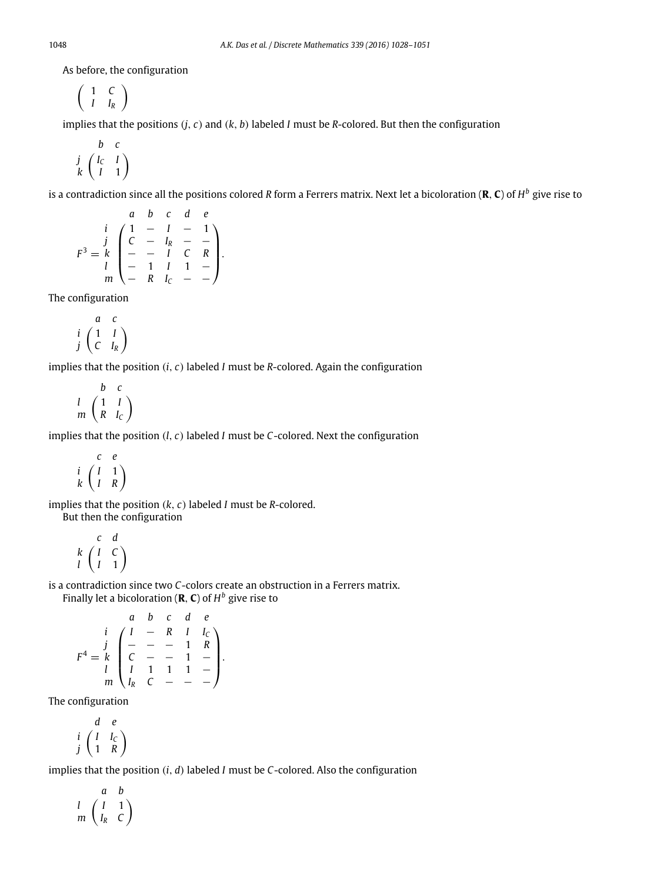As before, the configuration

$$
\left(\begin{array}{cc}1 & C \\I & I_R\end{array}\right)
$$

implies that the positions (*j*, *c*) and (*k*, *b*) labeled *I* must be *R*-colored. But then the configuration

$$
\begin{array}{cc}\n & b & c \\
j & \left(\begin{array}{cc} I_C & I \\ I & 1 \end{array}\right)\n\end{array}
$$

is a contradiction since all the positions colored *R* form a Ferrers matrix. Next let a bicoloration (**R**, **C**) of *H b* give rise to

$$
F^{3} = \begin{pmatrix} a & b & c & d & e \\ i & 1 & -1 & -1 \\ k & c & -1 & -1 \\ l & -1 & 1 & 1 & - \\ m & -1 & 1 & 1 & - \end{pmatrix}.
$$

The configuration

$$
\begin{array}{cc}\n & a & c \\
i & \begin{pmatrix} 1 & I \\ C & I_R \end{pmatrix}\n\end{array}
$$

implies that the position (*i*, *c*) labeled *I* must be *R*-colored. Again the configuration

$$
\begin{array}{cc}\n & b & c \\
l & \left(\begin{array}{cc} 1 & l \\
R & l_c \end{array}\right)\n\end{array}
$$

implies that the position (*l*, *c*) labeled *I* must be *C*-colored. Next the configuration

$$
\begin{array}{cc}\n & c & e \\
i & \left(\begin{array}{cc} I & 1 \\
I & R \end{array}\right)\n\end{array}
$$

implies that the position (*k*, *c*) labeled *I* must be *R*-colored. But then the configuration

$$
\begin{array}{cc} & c & d \\ k & \begin{pmatrix} I & C \\ I & 1 \end{pmatrix} \end{array}
$$

is a contradiction since two *C*-colors create an obstruction in a Ferrers matrix. Finally let a bicoloration (**R**, **C**) of *H b* give rise to

$$
F^{4} = \begin{pmatrix} a & b & c & d & e \\ i & 1 & - & R & 1 & l_{C} \\ k & - & - & - & 1 & R \\ l & 1 & 1 & 1 & - \\ m & l_{R} & C & - & - & - \end{pmatrix}.
$$

The configuration

$$
\begin{array}{cc}\n d & e \\
 i & \left(\begin{array}{cc} I & I_C \\ 1 & R \end{array}\right)\n\end{array}
$$

implies that the position (*i*, *d*) labeled *I* must be *C*-colored. Also the configuration

$$
\begin{array}{cc}\n & a & b \\
l & \left(\begin{array}{cc} I & 1 \\
I_R & C \end{array}\right)\n\end{array}
$$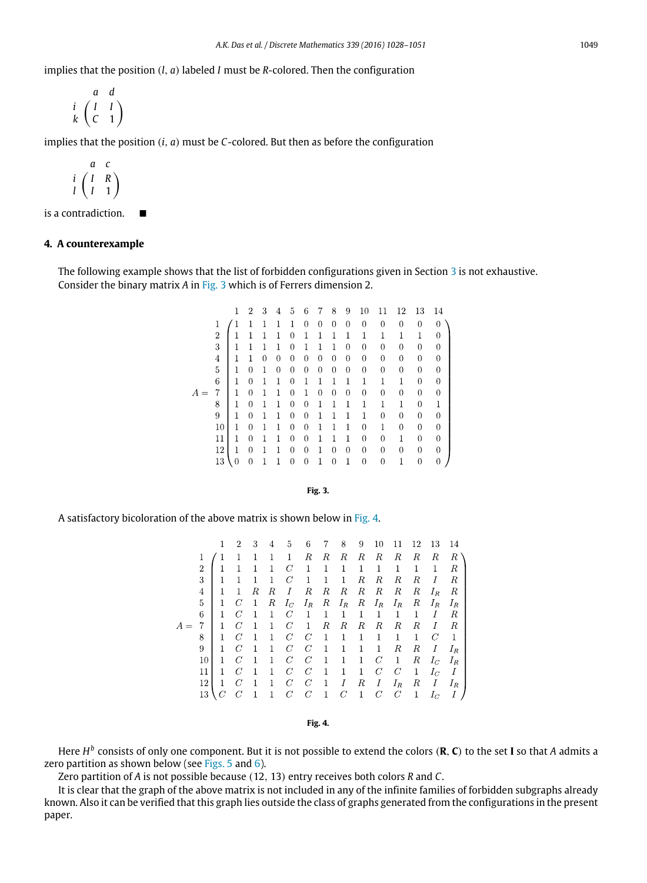implies that the position (*l*, *a*) labeled *I* must be *R*-colored. Then the configuration

$$
\begin{array}{cc}\n & a & d \\
i & \begin{pmatrix} I & I \\ C & 1 \end{pmatrix}\n\end{array}
$$

implies that the position (*i*, *a*) must be *C*-colored. But then as before the configuration

$$
\begin{array}{cc}\n & a & c \\
i & \left(\begin{array}{cc} I & R \\
I & 1 \end{array}\right)\n\end{array}
$$

is a contradiction.

# **4. A counterexample**

<span id="page-21-0"></span>The following example shows that the list of forbidden configurations given in Section [3](#page-4-2) is not exhaustive. Consider the binary matrix *A* in [Fig. 3](#page-21-0) which is of Ferrers dimension 2.

|  |                | 1 | 2              | 3 | 4 | 5                | 6              | 7              | 8              | 9                | 10             | 11               | 12             | 13             | 14       |
|--|----------------|---|----------------|---|---|------------------|----------------|----------------|----------------|------------------|----------------|------------------|----------------|----------------|----------|
|  |                |   | 1              | 1 |   | 1                | 0              | $\overline{0}$ | 0              | 0                | $\mathbf{0}$   | $\bf{0}$         | 0              | 0              | 0        |
|  | 2              | 1 | 1              | 1 | 1 | 0                | 1              | 1              | 1              | 1                | 1              | 1                | 1              | 1              | 0        |
|  | 3              | 1 | 1              | 1 | 1 | 0                | 1              | 1              | 1              | 0                | 0              | $\boldsymbol{0}$ | 0              | 0              | 0        |
|  | $\overline{4}$ | 1 | 1              | 0 | 0 | 0                | 0              | $\overline{0}$ | 0              | 0                | $\mathbf{0}$   | $\bf{0}$         | 0              | 0              | 0        |
|  | 5              | 1 | $\theta$       | 1 | 0 | $\boldsymbol{0}$ | $\mathbf{0}$   | 0              | 0              | $\boldsymbol{0}$ | $\mathbf{0}$   | $\boldsymbol{0}$ | 0              | 0              | $\theta$ |
|  | 6              | 1 | 0              | 1 | 1 | 0                | 1              | 1              | 1              | 1                | 1              | $\mathbf{1}$     | 1              | 0              | 0        |
|  | 7              | 1 | $\mathbf 0$    | 1 | 1 | 0                | 1              | $\overline{0}$ | $\overline{0}$ | $\overline{0}$   | $\overline{0}$ | $\overline{0}$   | $\overline{0}$ | 0              | 0        |
|  | 8              | 1 | 0              | 1 | 1 | 0                | 0              | 1              | 1              | 1                | 1              | 1                | 1              | 0              | 1        |
|  | 9              | 1 | 0              | 1 | 1 | 0                | 0              | 1              | 1              | 1                | 1              | $\boldsymbol{0}$ | 0              | 0              | 0        |
|  | $^{10}$        | 1 | $\overline{0}$ | 1 | 1 | 0                | $\overline{0}$ | 1              | 1              | 1                | $\overline{0}$ | 1                | 0              | 0              | 0        |
|  | 11             | 1 | 0              | 1 | 1 | 0                | 0              | 1              | 1              | 1                | 0              | $\boldsymbol{0}$ | 1              | 0              | 0        |
|  | 12             | 1 | 0              | 1 | 1 | 0                | 0              | 1              | 0              | $\boldsymbol{0}$ | 0              | $\boldsymbol{0}$ | 0              | 0              | 0        |
|  | 13             | 0 | $\overline{0}$ | 1 | 1 | 0                | 0              | 1              | 0              | 1                | $\overline{0}$ | $\overline{0}$   |                | $\overline{0}$ | 0        |

**Fig. 3.**

<span id="page-21-1"></span>A satisfactory bicoloration of the above matrix is shown below in [Fig. 4.](#page-21-1)

|                | 1            | 2              | 3            | 4            | 5              | 6              | 7            | 8            | 9            | 10             | 11         | 12 | 13    | 14    |
|----------------|--------------|----------------|--------------|--------------|----------------|----------------|--------------|--------------|--------------|----------------|------------|----|-------|-------|
| 1              |              |                |              | 1            | 1              | R              | R            | R            | R            | R              | R          | R  | R     | R     |
| $\overline{2}$ |              |                | 1            | 1            | C              | 1              | 1            | 1            | 1            | 1              | 1          | 1  | 1     | R     |
| 3              | 1            | 1              | 1            | $\mathbf{1}$ | C              | 1              | 1            | 1            | R            | R              | R          | R  | Ι     | R     |
| $\overline{4}$ | $\mathbf{1}$ |                | R            | R            | I              | R              | R            | R            | R            | R              | R          | R  | $I_R$ | R     |
| $\overline{5}$ | 1            | C              | 1            | R            | $I_C$          | $I_R$          | R            | $I_R$        | R            | $I_R$          | $I_R$      | R  | $I_R$ | $I_R$ |
| 6              | 1            | $\overline{C}$ | 1            | 1            | C              | 1              | 1            | $\mathbf{1}$ | 1            | 1              | 1          | 1  | Ι     | R     |
| 7              | 1            | C              | 1            | $\mathbf{1}$ | $\overline{C}$ | 1              | R            | R            | R            | R              | R          | R  | I     | R     |
| 8              | 1            | C              | 1            | 1            | C              | $\,C$          | 1            | 1            | $\mathbf{1}$ | 1              | 1          | 1  | C     | 1     |
| 9              | $\mathbf{1}$ | $\overline{C}$ | 1            | $\mathbf{1}$ | C              | $\,C$          | 1            | 1            | 1            | 1              | $_{\it R}$ | R  | Ι     | $I_R$ |
| 10             | 1            | C              | 1            | 1            | C              | $\mathcal{C}$  | 1            | 1            | 1            | C              | 1          | R  | $I_C$ | $I_R$ |
| 11             | 1            | C              | 1            | $\mathbf{1}$ | C              | $\,C$          | $\mathbf{1}$ | $\mathbf{1}$ | $\mathbf{1}$ | $\mathcal{C}$  | C          | 1  | $I_C$ | I     |
| 12             | 1            | $\,$ $C$       | 1            | 1            | C              | $\,C$          | $\mathbf{1}$ | Ι            | R            | Ι              | $I_R$      | R  | Ι     | $I_R$ |
| 13             |              | C              | $\mathbf{1}$ | 1            | C              | $\overline{C}$ | 1            | C            | 1            | $\overline{C}$ | C          | 1  | $I_C$ |       |
|                |              |                |              |              |                |                |              |              |              |                |            |    |       |       |

**Fig. 4.**

Here *H b* consists of only one component. But it is not possible to extend the colors (**R**, **C**) to the set **I** so that *A* admits a zero partition as shown below (see [Figs. 5](#page-22-10) and [6\)](#page-22-11).

Zero partition of *A* is not possible because (12, 13) entry receives both colors *R* and *C*.

It is clear that the graph of the above matrix is not included in any of the infinite families of forbidden subgraphs already known. Also it can be verified that this graph lies outside the class of graphs generated from the configurations in the present paper.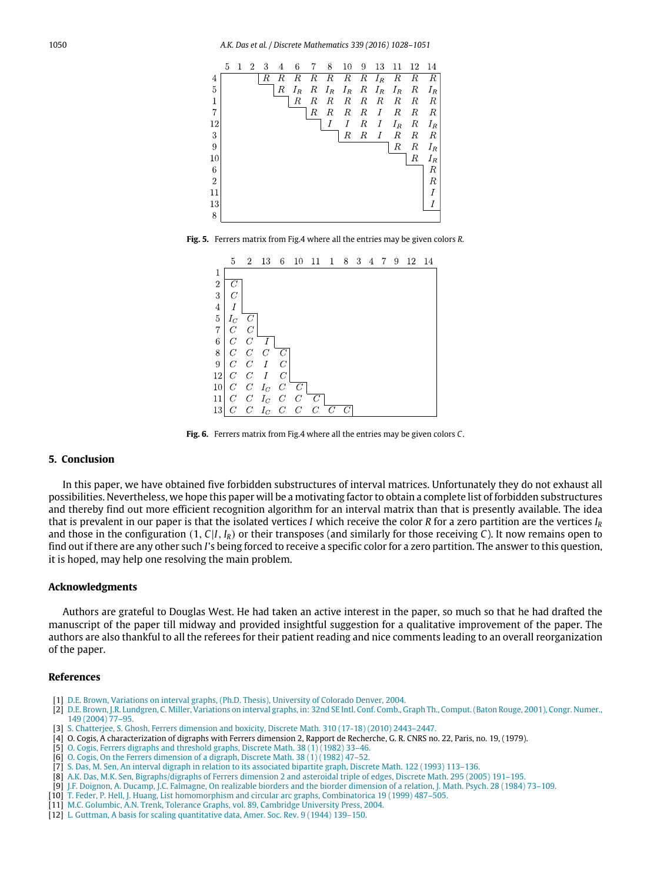<span id="page-22-10"></span>

<span id="page-22-11"></span>**Fig. 5.** Ferrers matrix from Fig.4 where all the entries may be given colors *R*.



**Fig. 6.** Ferrers matrix from Fig.4 where all the entries may be given colors *C*.

# **5. Conclusion**

In this paper, we have obtained five forbidden substructures of interval matrices. Unfortunately they do not exhaust all possibilities. Nevertheless, we hope this paper will be a motivating factor to obtain a complete list of forbidden substructures and thereby find out more efficient recognition algorithm for an interval matrix than that is presently available. The idea that is prevalent in our paper is that the isolated vertices *I* which receive the color *R* for a zero partition are the vertices *I<sup>R</sup>* and those in the configuration  $(1, C|I, I_R)$  or their transposes (and similarly for those receiving *C*). It now remains open to find out if there are any other such *I*'s being forced to receive a specific color for a zero partition. The answer to this question, it is hoped, may help one resolving the main problem.

#### **Acknowledgments**

Authors are grateful to Douglas West. He had taken an active interest in the paper, so much so that he had drafted the manuscript of the paper till midway and provided insightful suggestion for a qualitative improvement of the paper. The authors are also thankful to all the referees for their patient reading and nice comments leading to an overall reorganization of the paper.

#### **References**

- <span id="page-22-2"></span>[1] D.E[. Brown, Variations on interval graphs, \(Ph.D. Thesis\), University of Colorado Denver, 2004.](http://refhub.elsevier.com/S0012-365X(15)00364-7/sbref1)
- <span id="page-22-1"></span>[2] D.E[. Brown, J.R. Lundgren, C. Miller, Variations on interval graphs, in: 32nd SE Intl. Conf. Comb., Graph Th., Comput. \(Baton Rouge, 2001\), Congr. Numer.,](http://refhub.elsevier.com/S0012-365X(15)00364-7/sbref2) 149 (2004) 77–95.
- <span id="page-22-6"></span>[3] S. C[hatterjee, S. Ghosh, Ferrers dimension and boxicity, Discrete Math. 310 \(17-18\) \(2010\) 2443–2447.](http://refhub.elsevier.com/S0012-365X(15)00364-7/sbref3)
- <span id="page-22-3"></span>[4] O. Cogis, A characterization of digraphs with Ferrers dimension 2, Rapport de Recherche, G. R. CNRS no. 22, Paris, no. 19, (1979).
- [5] O. [Cogis, Ferrers digraphs and threshold graphs, Discrete Math. 38 \(1\) \(1982\) 33–46.](http://refhub.elsevier.com/S0012-365X(15)00364-7/sbref5)
- [6] O. [Cogis, On the Ferrers dimension of a digraph, Discrete Math. 38 \(1\) \(1982\) 47–52.](http://refhub.elsevier.com/S0012-365X(15)00364-7/sbref6)
- <span id="page-22-7"></span>[7] S. [Das, M. Sen, An interval digraph in relation to its associated bipartite graph, Discrete Math. 122 \(1993\) 113–136.](http://refhub.elsevier.com/S0012-365X(15)00364-7/sbref7)
- <span id="page-22-8"></span>[8] A.K[. Das, M.K. Sen, Bigraphs/digraphs of Ferrers dimension 2 and asteroidal triple of edges, Discrete Math. 295 \(2005\) 191–195.](http://refhub.elsevier.com/S0012-365X(15)00364-7/sbref8)
- <span id="page-22-5"></span>[9] J.F. [Doignon, A. Ducamp, J.C. Falmagne, On realizable biorders and the biorder dimension of a relation, J. Math. Psych. 28 \(1984\) 73–109.](http://refhub.elsevier.com/S0012-365X(15)00364-7/sbref9)
- <span id="page-22-9"></span>[10] T. F[eder, P. Hell, J. Huang, List homomorphism and circular arc graphs, Combinatorica 19 \(1999\) 487–505.](http://refhub.elsevier.com/S0012-365X(15)00364-7/sbref10)
- <span id="page-22-4"></span>[11] M.[C. Golumbic, A.N. Trenk, Tolerance Graphs, vol. 89, Cambridge University Press, 2004.](http://refhub.elsevier.com/S0012-365X(15)00364-7/sbref11)
- <span id="page-22-0"></span>[12] L. [Guttman, A basis for scaling quantitative data, Amer. Soc. Rev. 9 \(1944\) 139–150.](http://refhub.elsevier.com/S0012-365X(15)00364-7/sbref12)